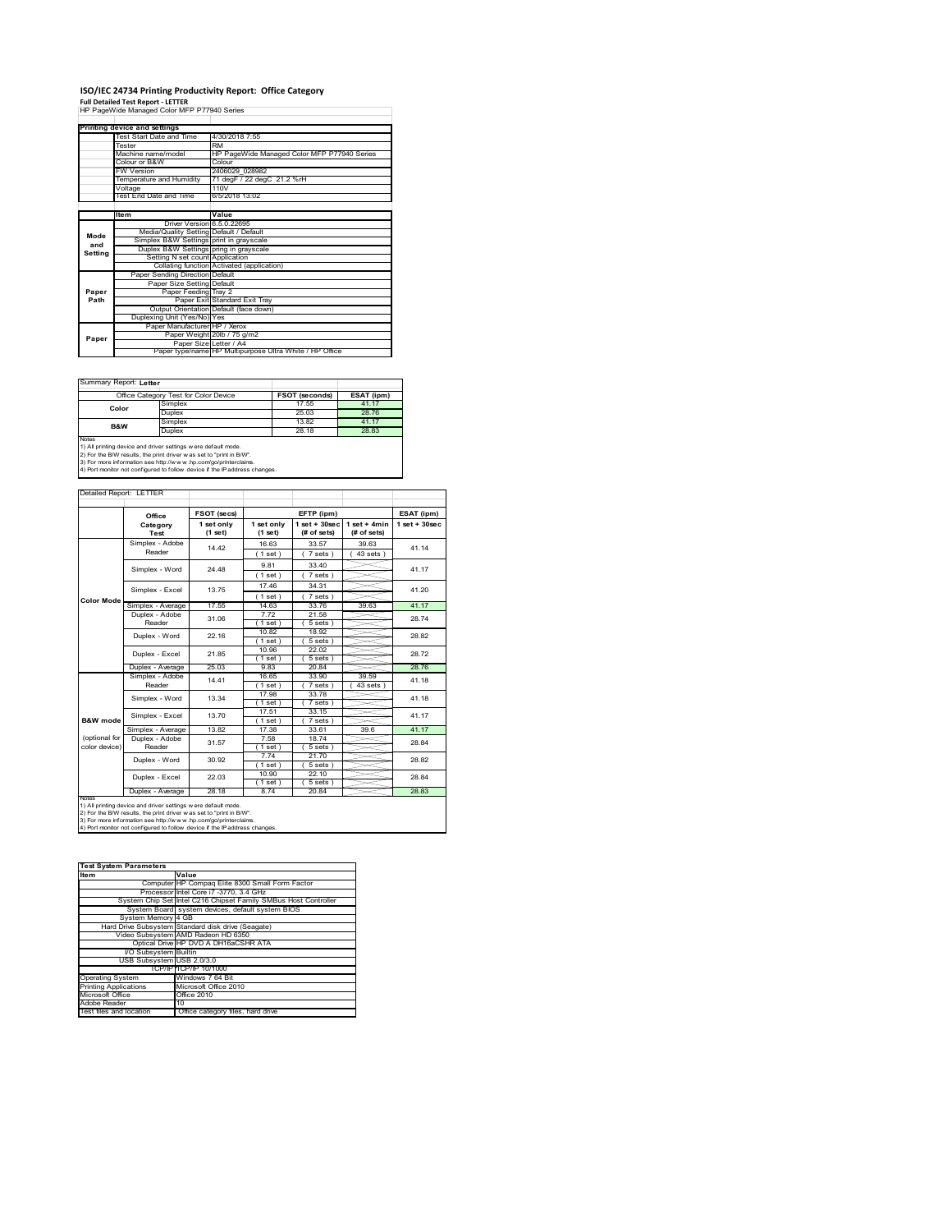# **ISO/IEC 24734 Printing Productivity Report: Office Category Full Detailed Test Report ‐ LETTER** HP PageWide Managed Color MFP P77940 Series

|         | <b>Printing device and settings</b>     |                                                         |  |  |  |
|---------|-----------------------------------------|---------------------------------------------------------|--|--|--|
|         | Test Start Date and Time                | 4/30/2018 7:55                                          |  |  |  |
|         | Tester                                  | <b>RM</b>                                               |  |  |  |
|         | Machine name/model                      | HP PageWide Managed Color MFP P77940 Series             |  |  |  |
|         | Colour or B&W                           | Colour                                                  |  |  |  |
|         | <b>FW Version</b>                       | 2406029 028982                                          |  |  |  |
|         | Temperature and Humidity                | 71 degF / 22 degC 21.2 %rH                              |  |  |  |
|         | Voltage                                 | 110V                                                    |  |  |  |
|         | Test End Date and Time                  | 6/5/2018 13:02                                          |  |  |  |
|         |                                         |                                                         |  |  |  |
|         | <b>Item</b>                             | Value                                                   |  |  |  |
|         | Driver Version 6.5.0.22695              |                                                         |  |  |  |
| Mode    | Media/Quality Setting Default / Default |                                                         |  |  |  |
| and     | Simplex B&W Settings print in grayscale |                                                         |  |  |  |
|         | Duplex B&W Settings pring in grayscale  |                                                         |  |  |  |
| Setting | Setting N set count Application         |                                                         |  |  |  |
|         |                                         | Collating function Activated (application)              |  |  |  |
|         | Paper Sending Direction Default         |                                                         |  |  |  |
|         | Paper Size Setting Default              |                                                         |  |  |  |
| Paper   | Paper Feeding Tray 2                    |                                                         |  |  |  |
| Path    |                                         | Paper Exit Standard Exit Tray                           |  |  |  |
|         |                                         | Output Orientation Default (face down)                  |  |  |  |
|         | Duplexing Unit (Yes/No) Yes             |                                                         |  |  |  |
|         | Paper Manufacturer HP / Xerox           |                                                         |  |  |  |
| Paper   |                                         | Paper Weight 20lb / 75 g/m2                             |  |  |  |
|         | Paper Size Letter / A4                  |                                                         |  |  |  |
|         |                                         | Paper type/name HP Multipurpose Ultra White / HP Office |  |  |  |

 $\mathcal{L}^{\text{max}}_{\text{max}}$  , and  $\mathcal{L}^{\text{max}}_{\text{max}}$ 

 $\overline{\phantom{a}}$ 

Summary Report: **Letter**

| Office Category Test for Color Device                               |         | FSOT (seconds) | ESAT (ipm) |  |  |
|---------------------------------------------------------------------|---------|----------------|------------|--|--|
| Color                                                               | Simplex | 17.55          | 41.17      |  |  |
|                                                                     | Duplex  | 25.03          | 28.76      |  |  |
| <b>B&amp;W</b>                                                      | Simplex | 13.82          | 41.17      |  |  |
|                                                                     | Duplex  | 28.18          | 28.83      |  |  |
| Notes                                                               |         |                |            |  |  |
| 1) All printing device and driver settings w ere default mode.      |         |                |            |  |  |
| 2) For the B/W results, the print driver was set to "print in B/W". |         |                |            |  |  |
|                                                                     |         |                |            |  |  |

3) For more information see http://w w w .hp.com/go/printerclaims. 4) Port monitor not configured to follow device if the IP address changes.

| Detailed Report: LETTER        |                           |                       |                       |                                  |                               |                   |
|--------------------------------|---------------------------|-----------------------|-----------------------|----------------------------------|-------------------------------|-------------------|
|                                | Office                    | FSOT (secs)           |                       | EFTP (ipm)                       |                               | ESAT (ipm)        |
|                                | Category<br>Test          | 1 set only<br>(1 set) | 1 set only<br>(1 set) | $1$ set $+30$ sec<br>(# of sets) | $1$ set + 4min<br>(# of sets) | $1$ set $+30$ sec |
|                                | Simplex - Adobe<br>Reader | 14 42                 | 16.63<br>$1$ set)     | 33.57<br>7 sets)                 | 39.63<br>$43 sets$ )          | 41.14             |
|                                | Simplex - Word            | 24 48                 | 9.81<br>$1$ set)      | 33 40<br>7 sets)                 |                               | 41.17             |
|                                | Simplex - Excel           | 13 75                 | 17.46<br>$1$ set $1$  | 34.31<br>7 sets)                 |                               | 41 20             |
| <b>Color Mode</b>              | Simplex - Average         | 17.55                 | 14.63                 | 33.76                            | 39.63                         | 41.17             |
|                                | Duplex - Adobe<br>Reader  | 31.06                 | 7.72<br>$1$ set)      | 21.58<br>$5 sets$ )              |                               | 28.74             |
|                                | Duplex - Word             | 22 16                 | 10.82<br>$1$ set $)$  | 18.92<br>$5 sets$ )              |                               | 28.82             |
|                                | Duplex - Excel            | 21.85                 | 10.96<br>$1$ set)     | 22.02<br>$5 sets$ )              |                               | 28.72             |
|                                | Duplex - Average          | 25.03                 | 983                   | 20.84                            |                               | 28.76             |
|                                | Simplex - Adobe<br>Reader | 14 41                 | 16.65<br>$1$ set)     | 33.90<br>7 sets 1                | 39.59<br>43 sets              | 41.18             |
|                                | Simplex - Word            | 13.34                 | 17.98<br>$'1$ set)    | 33.78<br>$7 sets$ )              |                               | 41.18             |
| B&W mode                       | Simplex - Excel           | 13.70                 | 17.51<br>$1$ set)     | 33.15<br>7 sets)                 |                               | 41.17             |
|                                | Simplex - Average         | 13.82                 | 17.38                 | 33.61                            | 396                           | 41.17             |
| (optional for<br>color device) | Duplex - Adobe<br>Reader  | 31.57                 | 7.58<br>1 set)        | 18.74<br>$5 sets$ )              |                               | 28.84             |
|                                | Duplex - Word             | 30.92                 | 7.74<br>$1$ set)      | 21.70<br>$5 sets$ )              |                               | 28.82             |
|                                | Duplex - Excel            | 22.03                 | 10.90<br>$1$ set)     | 22.10<br>$5 sets$ )              |                               | 28.84             |
| <b>NOtes</b>                   | Duplex - Average          | 28.18                 | 8.74                  | 20.84                            |                               | 28.83             |

notes<br>1) All printing device and driver settings were default mode.<br>2) For the B/W results, the print driver was set to "print in B/W".<br>3) For more information see http://www.hp.com/go/printerclaims.<br>4) Por morator not con

| <b>Test System Parameters</b> |                                                                 |  |  |
|-------------------------------|-----------------------------------------------------------------|--|--|
| <b>Item</b>                   | Value                                                           |  |  |
|                               | Computer HP Compaq Elite 8300 Small Form Factor                 |  |  |
|                               | Processor Intel Core i7 -3770, 3.4 GHz                          |  |  |
|                               | System Chip Set Intel C216 Chipset Family SMBus Host Controller |  |  |
|                               | System Board system devices, default system BIOS                |  |  |
| System Memory 4 GB            |                                                                 |  |  |
|                               | Hard Drive Subsystem Standard disk drive (Seagate)              |  |  |
|                               | Video Subsystem AMD Radeon HD 6350                              |  |  |
|                               | Optical Drive HP DVD A DH16aCSHR ATA                            |  |  |
| I/O Subsystem Builtin         |                                                                 |  |  |
| USB Subsystem USB 2.0/3.0     |                                                                 |  |  |
|                               | TCP/IPITCP/IP 10/1000                                           |  |  |
| <b>Operating System</b>       | Windows 7 64 Bit                                                |  |  |
| <b>Printing Applications</b>  | Microsoft Office 2010                                           |  |  |
| Microsoft Office              | Office 2010                                                     |  |  |
| Adobe Reader                  | 10                                                              |  |  |
| Test files and location       | Office category files, hard drive                               |  |  |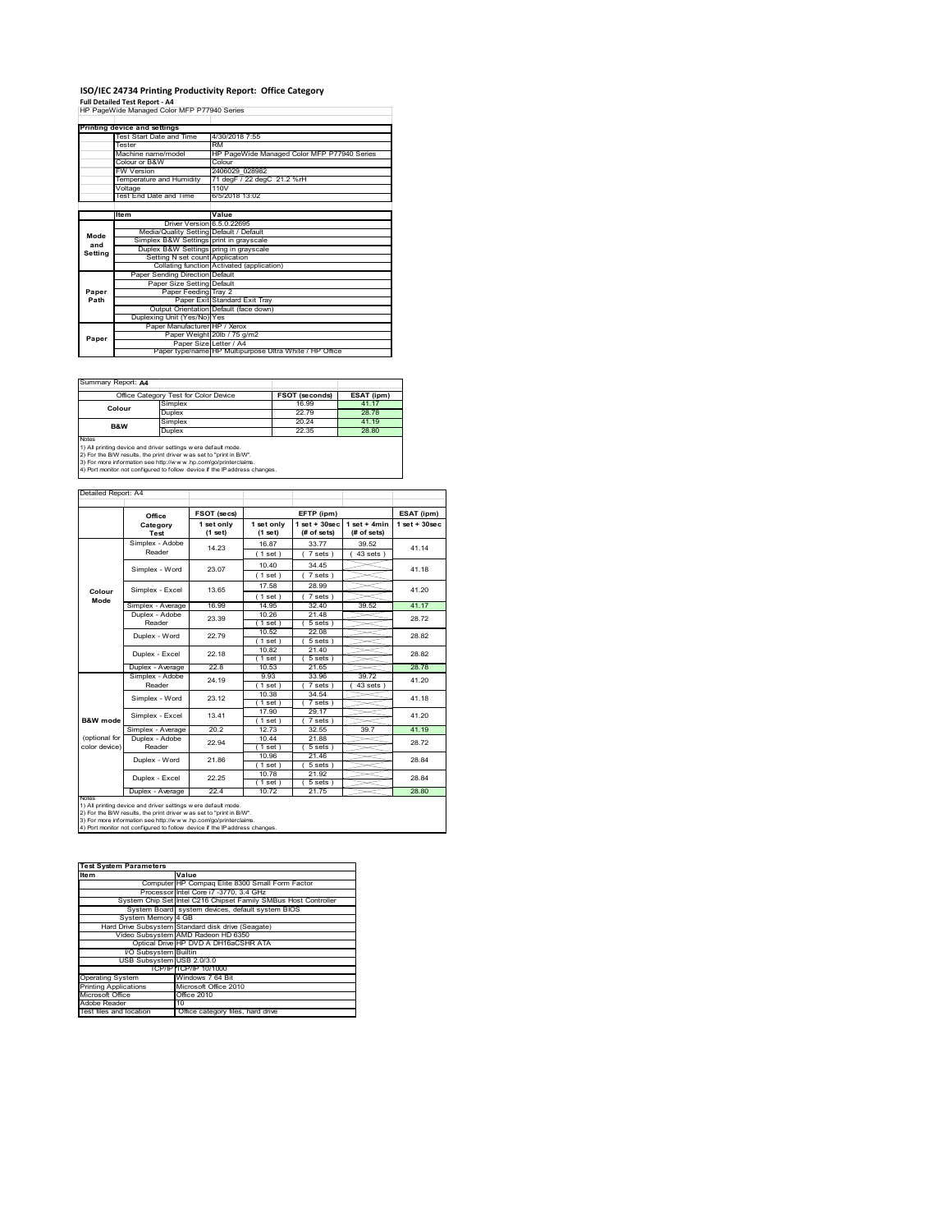### **ISO/IEC 24734 Printing Productivity Report: Office Category**

**Full Detailed Test Report ‐ A4** HP PageWide Managed Color MFP P77940 Series

|         | Printing device and settings            |                                                         |  |  |
|---------|-----------------------------------------|---------------------------------------------------------|--|--|
|         | Test Start Date and Time                | 4/30/2018 7:55                                          |  |  |
|         | Tester                                  | <b>RM</b>                                               |  |  |
|         | Machine name/model                      | HP PageWide Managed Color MFP P77940 Series             |  |  |
|         | Colour or B&W                           | Colour                                                  |  |  |
|         | <b>FW Version</b>                       | 2406029 028982                                          |  |  |
|         | Temperature and Humidity                | 71 degF / 22 degC 21.2 %rH                              |  |  |
|         | Voltage                                 | 110V                                                    |  |  |
|         | Test End Date and Time                  | 6/5/2018 13:02                                          |  |  |
|         |                                         |                                                         |  |  |
|         | <b>Item</b>                             | Value                                                   |  |  |
|         | Driver Version 6.5.0.22695              |                                                         |  |  |
| Mode    | Media/Quality Setting Default / Default |                                                         |  |  |
| and     | Simplex B&W Settings print in grayscale |                                                         |  |  |
|         | Duplex B&W Settings pring in grayscale  |                                                         |  |  |
| Setting | Setting N set count Application         |                                                         |  |  |
|         |                                         | Collating function Activated (application)              |  |  |
|         | Paper Sending Direction Default         |                                                         |  |  |
|         | Paper Size Setting Default              |                                                         |  |  |
| Paper   | Paper Feeding Tray 2                    |                                                         |  |  |
| Path    |                                         | Paper Exit Standard Exit Tray                           |  |  |
|         |                                         | Output Orientation Default (face down)                  |  |  |
|         | Duplexing Unit (Yes/No) Yes             |                                                         |  |  |
|         | Paper Manufacturer HP / Xerox           |                                                         |  |  |
| Paper   |                                         | Paper Weight 20lb / 75 g/m2                             |  |  |
|         | Paper Size Letter / A4                  |                                                         |  |  |
|         |                                         | Paper type/name HP Multipurpose Ultra White / HP Office |  |  |

 $\overline{\phantom{a}}$ 

Summary Report: **A4**

| Office Category Test for Color Device                                                                                                                 |         | FSOT (seconds) | ESAT (ipm) |  |
|-------------------------------------------------------------------------------------------------------------------------------------------------------|---------|----------------|------------|--|
| Colour                                                                                                                                                | Simplex | 16.99          | 41.17      |  |
|                                                                                                                                                       | Duplex  | 22.79          | 28.78      |  |
| B&W                                                                                                                                                   | Simplex | 20.24          | 41.19      |  |
|                                                                                                                                                       | Duplex  | 22.35          | 28.80      |  |
| <b>Notes</b><br>1) All printing device and driver settings w ere default mode.<br>2) For the B/W results, the print driver was set to "print in B/W". |         |                |            |  |

2) For the B/W results, the print driver w as set to "print in B/W".<br>3) For more information see http://w w w .hp.com/go/printerclaims.<br>4) Port monitor not configured to follow device if the IP address changes.

| Detailed Report: A4            |                           |                       |                       |                                  |                               |                   |
|--------------------------------|---------------------------|-----------------------|-----------------------|----------------------------------|-------------------------------|-------------------|
|                                |                           |                       |                       |                                  |                               |                   |
|                                | Office                    | FSOT (secs)           |                       | EFTP (ipm)                       |                               | ESAT (ipm)        |
|                                | Category<br>Test          | 1 set only<br>(1 set) | 1 set only<br>(1 set) | $1$ set $+30$ sec<br>(# of sets) | $1$ set + 4min<br>(# of sets) | $1$ set $+30$ sec |
|                                | Simplex - Adobe<br>Reader | 14 23                 | 16.87<br>$1$ set)     | 3377<br>7 sets)                  | 39.52<br>$43$ sets $)$        | 41.14             |
|                                | Simplex - Word            | 23.07                 | 10.40<br>(1 set)      | 34 45<br>7 sets)                 |                               | 41.18             |
| Colour<br>Mode                 | Simplex - Excel           | 13.65                 | 17.58<br>$1$ set)     | 28.99<br>7 sets)                 |                               | 41.20             |
|                                | Simplex - Average         | 16.99                 | 14 95                 | 32 40                            | 39.52                         | 41.17             |
|                                | Duplex - Adobe<br>Reader  | 23.39                 | 10.26<br>(1 set)      | 21.48<br>5 sets)                 |                               | 28.72             |
|                                | Duplex - Word             | 22.79                 | 10.52<br>'1 set '     | 22.08<br>5 sets)                 |                               | 28.82             |
|                                | Duplex - Excel            | 22 18                 | 10.82<br>1 set)       | 21 40<br>5 sets)                 |                               | 28.82             |
|                                | Duplex - Average          | 228                   | 10.53                 | 21.65                            |                               | 28.78             |
| <b>B&amp;W</b> mode            | Simplex - Adobe<br>Reader | 24 19                 | 9.93<br>(1 set)       | 33.96<br>$7 sets$ )              | 39 72<br>43 sets              | 41.20             |
|                                | Simplex - Word            | 23 12                 | 10.38<br>(1 set)      | 34 54<br>$7 sets$ )              |                               | 41.18             |
|                                | Simplex - Excel           | 13 41                 | 17.90<br>(1 set)      | 29.17<br>7 sets)                 |                               | 41 20             |
|                                | Simplex - Average         | 20.2                  | 12.73                 | 32.55                            | 39.7                          | 41.19             |
| (optional for<br>color device) | Duplex - Adobe<br>Reader  | 22.94                 | 10.44<br>$1$ set)     | 21.88<br>$5 sets$ )              |                               | 28.72             |
|                                | Duplex - Word             | 2186                  | 10.96<br>$1$ set)     | 21.46<br>5 sets)                 |                               | 28.84             |
|                                | Duplex - Excel            | 22.25                 | 10.78<br>$1$ set)     | 21.92<br>5 sets)                 |                               | 28.84             |
|                                | Duplex - Average          | 224                   | 10.72                 | 21.75                            |                               | 28.80             |
| <b>NOtes</b>                   |                           |                       |                       |                                  |                               |                   |

notes<br>1) All printing device and driver settings were default mode.<br>2) For the B/W results, the print driver was set to "print in B/W".<br>3) For more information see http://www.hp.com/go/printerclaims.<br>4) Por morator not con

| <b>Test System Parameters</b> |                                                                 |  |  |
|-------------------------------|-----------------------------------------------------------------|--|--|
| Item                          | Value                                                           |  |  |
|                               | Computer HP Compaq Elite 8300 Small Form Factor                 |  |  |
|                               | Processor Intel Core i7 -3770, 3.4 GHz                          |  |  |
|                               | System Chip Set Intel C216 Chipset Family SMBus Host Controller |  |  |
|                               | System Board system devices, default system BIOS                |  |  |
| System Memory 4 GB            |                                                                 |  |  |
|                               | Hard Drive Subsystem Standard disk drive (Seagate)              |  |  |
|                               | Video Subsystem AMD Radeon HD 6350                              |  |  |
|                               | Optical Drive HP DVD A DH16aCSHR ATA                            |  |  |
| I/O Subsystem Builtin         |                                                                 |  |  |
| USB Subsystem USB 2.0/3.0     |                                                                 |  |  |
|                               | TCP/IPITCP/IP 10/1000                                           |  |  |
| <b>Operating System</b>       | Windows 7 64 Bit                                                |  |  |
| <b>Printing Applications</b>  | Microsoft Office 2010                                           |  |  |
| Microsoft Office              | Office 2010                                                     |  |  |
| Adobe Reader                  | 10                                                              |  |  |
| Test files and location       | Office category files, hard drive                               |  |  |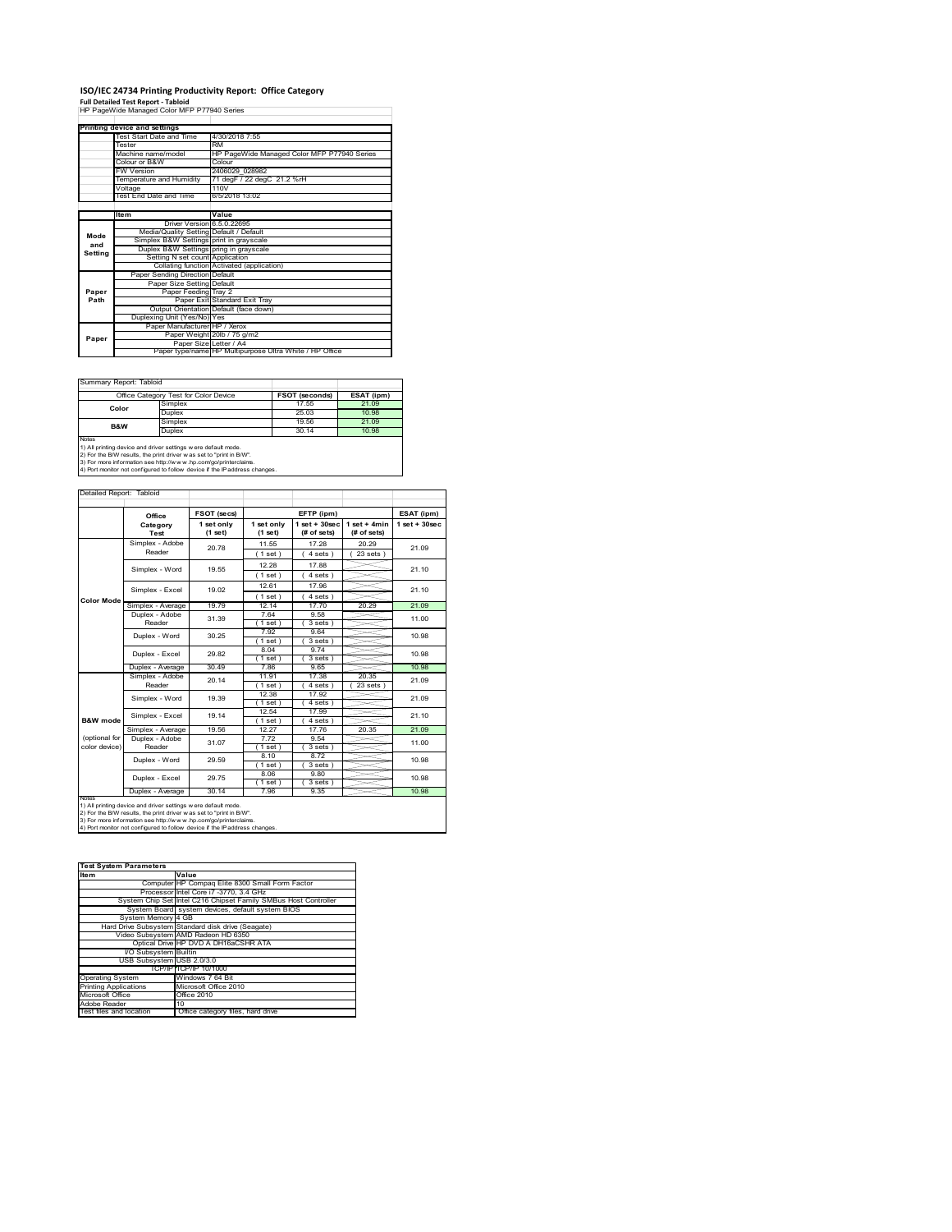# **ISO/IEC 24734 Printing Productivity Report: Office Category Full Detailed Test Report ‐ Tabloid** HP PageWide Managed Color MFP P77940 Series

|         | Printing device and settings            |                                                         |  |  |
|---------|-----------------------------------------|---------------------------------------------------------|--|--|
|         | Test Start Date and Time                | 4/30/2018 7:55                                          |  |  |
|         | Tester                                  | <b>RM</b>                                               |  |  |
|         | Machine name/model                      | HP PageWide Managed Color MFP P77940 Series             |  |  |
|         | Colour or B&W                           | Colour                                                  |  |  |
|         | <b>FW Version</b>                       | 2406029 028982                                          |  |  |
|         | Temperature and Humidity                | 71 degF / 22 degC 21.2 %rH                              |  |  |
|         | Voltage                                 | 110V                                                    |  |  |
|         | Test End Date and Time                  | 6/5/2018 13:02                                          |  |  |
|         |                                         |                                                         |  |  |
|         | ltem                                    | Value                                                   |  |  |
|         | Driver Version 6.5.0.22695              |                                                         |  |  |
| Mode    | Media/Quality Setting Default / Default |                                                         |  |  |
| and     | Simplex B&W Settings print in grayscale |                                                         |  |  |
| Setting | Duplex B&W Settings pring in grayscale  |                                                         |  |  |
|         | Setting N set count Application         |                                                         |  |  |
|         |                                         | Collating function Activated (application)              |  |  |
|         | Paper Sending Direction Default         |                                                         |  |  |
|         | Paper Size Setting Default              |                                                         |  |  |
| Paper   | Paper Feeding Tray 2                    |                                                         |  |  |
| Path    |                                         | Paper Exit Standard Exit Tray                           |  |  |
|         |                                         | Output Orientation Default (face down)                  |  |  |
|         | Duplexing Unit (Yes/No) Yes             |                                                         |  |  |
|         | Paper Manufacturer HP / Xerox           |                                                         |  |  |
| Paper   |                                         | Paper Weight 20lb / 75 g/m2                             |  |  |
|         | Paper Size Letter / A4                  |                                                         |  |  |
|         |                                         | Paper type/name HP Multipurpose Ultra White / HP Office |  |  |

 $\overline{\phantom{a}}$ 

Summary Report: Tabloi

| ------------------------------                                                                                                                 |         |                       |            |  |
|------------------------------------------------------------------------------------------------------------------------------------------------|---------|-----------------------|------------|--|
| Office Category Test for Color Device                                                                                                          |         | <b>FSOT (seconds)</b> | ESAT (ipm) |  |
| Color                                                                                                                                          | Simplex | 17.55                 | 21.09      |  |
|                                                                                                                                                | Duplex  | 25.03                 | 10.98      |  |
|                                                                                                                                                | Simplex | 19.56                 | 21.09      |  |
| B&W                                                                                                                                            | Duplex  | 30.14                 | 10.98      |  |
| Notes<br>1) All printing device and driver settings w ere default mode.<br>2) For the B/W results, the print driver was set to "print in B/W". |         |                       |            |  |

2) For the B/W results, the print driver w as set to "print in B/W".<br>3) For more information see http://w w w .hp.com/go/printerclaims.<br>4) Port monitor not configured to follow device if the IP address changes.

|                                                                                                                                                                                                                                                                                                         | Office                                             | FSOT (secs)             |                       | EFTP (ipm)                       |                               | ESAT (ipm)         |
|---------------------------------------------------------------------------------------------------------------------------------------------------------------------------------------------------------------------------------------------------------------------------------------------------------|----------------------------------------------------|-------------------------|-----------------------|----------------------------------|-------------------------------|--------------------|
|                                                                                                                                                                                                                                                                                                         | Category<br>Test                                   | 1 set only<br>$(1$ set) | 1 set only<br>(1 set) | $1$ set $+30$ sec<br>(# of sets) | $1$ set + 4min<br>(# of sets) | $1$ set + $30$ sec |
|                                                                                                                                                                                                                                                                                                         | Simplex - Adobe                                    | 20.78                   | 11.55                 | 17.28                            | 20.29                         | 21.09              |
|                                                                                                                                                                                                                                                                                                         | Reader                                             |                         | (1 set)               | $4 sets$ )                       | $23$ sets $)$                 |                    |
|                                                                                                                                                                                                                                                                                                         | Simplex - Word                                     | 19.55                   | 12.28                 | 17.88                            |                               | 21.10              |
|                                                                                                                                                                                                                                                                                                         |                                                    |                         | (1 set)               | 4 sets)                          |                               |                    |
|                                                                                                                                                                                                                                                                                                         | Simplex - Excel                                    | 19.02                   | 12.61                 | 17.96                            |                               | 21.10              |
| <b>Color Mode</b>                                                                                                                                                                                                                                                                                       |                                                    |                         | (1 set)               | 4 sets                           |                               |                    |
|                                                                                                                                                                                                                                                                                                         | Simplex - Average                                  | 19 79                   | 12 14                 | 17 70                            | 20.29                         | 21.09              |
|                                                                                                                                                                                                                                                                                                         | Duplex - Adobe                                     | 31.39                   | 764                   | 9.58                             |                               | 11.00              |
|                                                                                                                                                                                                                                                                                                         | Reader                                             |                         | $1$ set)              | 3 sets)                          |                               |                    |
|                                                                                                                                                                                                                                                                                                         | Duplex - Word                                      | 30 25                   | 7.92                  | 9.64                             |                               | 10.98              |
|                                                                                                                                                                                                                                                                                                         |                                                    |                         | (1 set)               | 3 sets                           |                               |                    |
|                                                                                                                                                                                                                                                                                                         | Duplex - Excel                                     | 29.82                   | 8.04                  | 9 74                             |                               | 10.98              |
|                                                                                                                                                                                                                                                                                                         |                                                    | 30.49                   | $1$ set)<br>7.86      | 3 sets)<br>9.65                  |                               | 10.98              |
|                                                                                                                                                                                                                                                                                                         | Duplex - Average                                   |                         |                       |                                  |                               |                    |
|                                                                                                                                                                                                                                                                                                         | Simplex - Adobe<br>Reader                          | 20.14                   | 11.91<br>$1$ set $)$  | 17.38<br>4 sets                  | 20.35<br>23 sets              | 21.09              |
|                                                                                                                                                                                                                                                                                                         |                                                    |                         | 12.38                 | 17.92                            |                               |                    |
|                                                                                                                                                                                                                                                                                                         | Simplex - Word                                     | 19.39                   | (1 set)               | 4 sets                           |                               | 21.09              |
|                                                                                                                                                                                                                                                                                                         |                                                    | 19 14                   | 12.54                 | 17.99                            |                               |                    |
| B&W mode                                                                                                                                                                                                                                                                                                | Simplex - Excel                                    |                         | (1 set)               | 4 sets                           |                               | 21.10              |
|                                                                                                                                                                                                                                                                                                         | Simplex - Average                                  | 19.56                   | 12 27                 | 17.76                            | 20.35                         | 21.09              |
| (optional for                                                                                                                                                                                                                                                                                           | Duplex - Adobe                                     | 31.07                   | 772                   | 9.54                             |                               | 11.00              |
| color device)                                                                                                                                                                                                                                                                                           | Reader                                             |                         | $1$ set)              | 3 sets)                          |                               |                    |
|                                                                                                                                                                                                                                                                                                         | Duplex - Word                                      | 29.59                   | 8.10                  | 8.72                             |                               | 10.98              |
|                                                                                                                                                                                                                                                                                                         |                                                    |                         | (1 set)               | $3 sets$ )                       |                               |                    |
|                                                                                                                                                                                                                                                                                                         | Duplex - Excel                                     | 29.75                   | 8.06                  | 9.80                             |                               | 10.98              |
|                                                                                                                                                                                                                                                                                                         |                                                    |                         | $1$ set)              | 3 sets)                          |                               |                    |
|                                                                                                                                                                                                                                                                                                         | 30.14<br>9.35<br>10.98<br>Duplex - Average<br>7.96 |                         |                       |                                  |                               |                    |
| <b>NOIRS</b><br>1) All printing device and driver settings w ere default mode.<br>2) For the B/W results, the print driver w as set to "print in B/W".<br>3) For more information see http://www.hp.com/go/printerclaims.<br>4) Port monitor not configured to follow device if the IP address changes. |                                                    |                         |                       |                                  |                               |                    |

| <b>Test System Parameters</b> |                                                                 |  |  |
|-------------------------------|-----------------------------------------------------------------|--|--|
| Item                          | Value                                                           |  |  |
|                               | Computer HP Compaq Elite 8300 Small Form Factor                 |  |  |
|                               | Processor Intel Core i7 -3770, 3.4 GHz                          |  |  |
|                               | System Chip Set Intel C216 Chipset Family SMBus Host Controller |  |  |
|                               | System Board system devices, default system BIOS                |  |  |
| System Memory 4 GB            |                                                                 |  |  |
|                               | Hard Drive Subsystem Standard disk drive (Seagate)              |  |  |
|                               | Video Subsystem AMD Radeon HD 6350                              |  |  |
|                               | Optical Drive HP DVD A DH16aCSHR ATA                            |  |  |
| I/O Subsystem Builtin         |                                                                 |  |  |
| USB Subsystem USB 2.0/3.0     |                                                                 |  |  |
|                               | TCP/IPITCP/IP 10/1000                                           |  |  |
| <b>Operating System</b>       | Windows 7 64 Bit                                                |  |  |
| <b>Printing Applications</b>  | Microsoft Office 2010                                           |  |  |
| Microsoft Office              | Office 2010                                                     |  |  |
| Adobe Reader                  | 10                                                              |  |  |
| Test files and location       | Office category files, hard drive                               |  |  |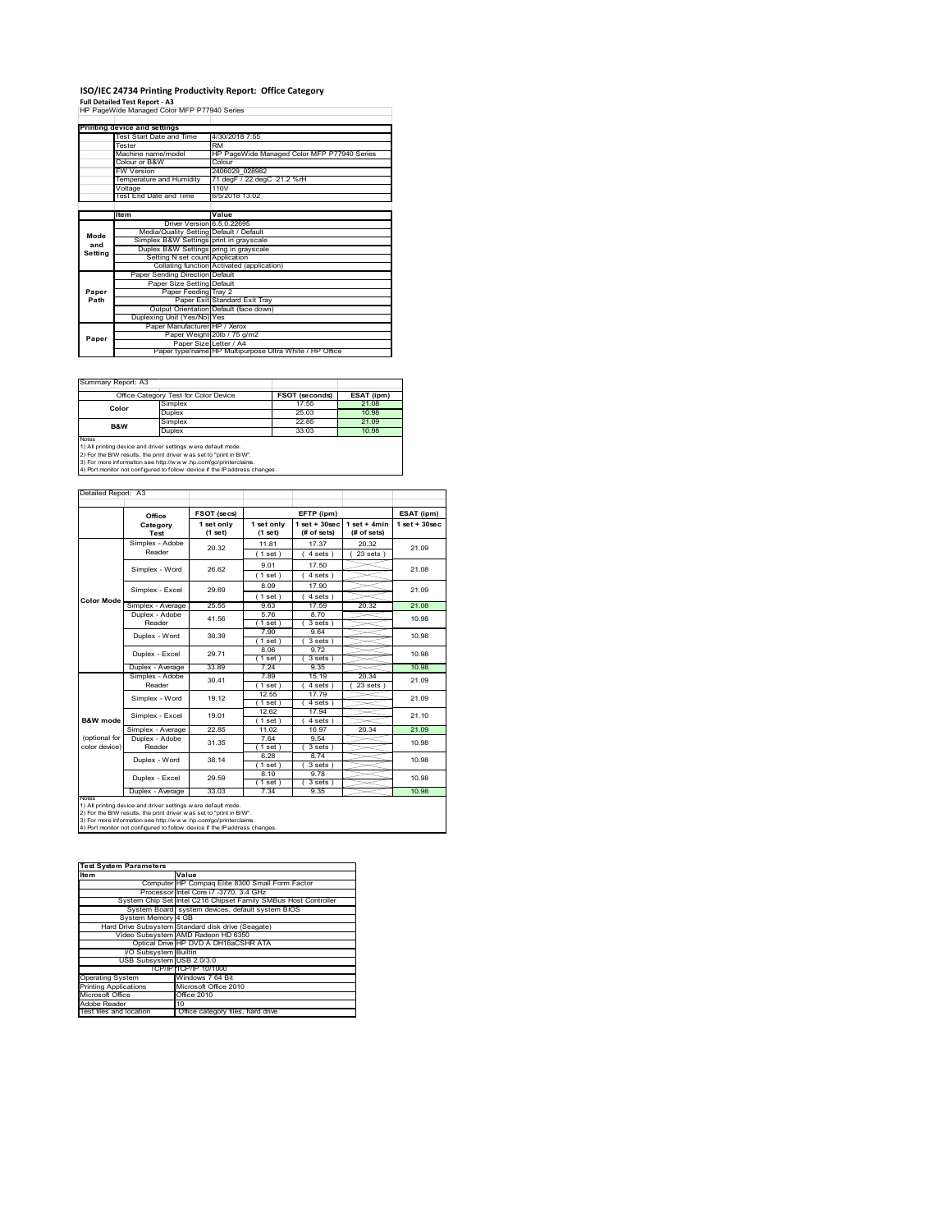## **ISO/IEC 24734 Printing Productivity Report: Office Category**

**Full Detailed Test Report ‐ A3** HP PageWide Managed Color MFP P77940 Series

|         | Printing device and settings            |                                                         |  |  |  |  |
|---------|-----------------------------------------|---------------------------------------------------------|--|--|--|--|
|         | Test Start Date and Time                | 4/30/2018 7:55                                          |  |  |  |  |
|         | Tester                                  | <b>RM</b>                                               |  |  |  |  |
|         | Machine name/model                      | HP PageWide Managed Color MFP P77940 Series             |  |  |  |  |
|         | Colour or B&W                           | Colour                                                  |  |  |  |  |
|         | <b>FW Version</b>                       | 2406029 028982                                          |  |  |  |  |
|         | Temperature and Humidity                | 71 degF / 22 degC 21.2 %rH                              |  |  |  |  |
|         | Voltage                                 | 110V                                                    |  |  |  |  |
|         | Test End Date and Time                  | 6/5/2018 13:02                                          |  |  |  |  |
|         |                                         |                                                         |  |  |  |  |
|         | ltem                                    | Value                                                   |  |  |  |  |
|         | Driver Version 6.5.0.22695              |                                                         |  |  |  |  |
| Mode    | Media/Quality Setting Default / Default |                                                         |  |  |  |  |
| and     | Simplex B&W Settings print in grayscale |                                                         |  |  |  |  |
| Setting | Duplex B&W Settings pring in grayscale  |                                                         |  |  |  |  |
|         | Setting N set count Application         |                                                         |  |  |  |  |
|         |                                         | Collating function Activated (application)              |  |  |  |  |
|         | Paper Sending Direction Default         |                                                         |  |  |  |  |
|         | Paper Size Setting Default              |                                                         |  |  |  |  |
| Paper   | Paper Feeding Tray 2                    |                                                         |  |  |  |  |
| Path    |                                         | Paper Exit Standard Exit Tray                           |  |  |  |  |
|         |                                         | Output Orientation Default (face down)                  |  |  |  |  |
|         | Duplexing Unit (Yes/No) Yes             |                                                         |  |  |  |  |
|         | Paper Manufacturer HP / Xerox           |                                                         |  |  |  |  |
| Paper   |                                         | Paper Weight 20lb / 75 g/m2                             |  |  |  |  |
|         | Paper Size Letter / A4                  |                                                         |  |  |  |  |
|         |                                         | Paper type/name HP Multipurpose Ultra White / HP Office |  |  |  |  |

 $\sim$ 

Summary Report: A3

|                                                                                                                                                       | Office Category Test for Color Device | <b>FSOT (seconds)</b> | ESAT (ipm) |  |  |
|-------------------------------------------------------------------------------------------------------------------------------------------------------|---------------------------------------|-----------------------|------------|--|--|
| Color                                                                                                                                                 | Simplex                               | 17.55                 | 21.08      |  |  |
|                                                                                                                                                       | Duplex                                | 25.03                 | 10.98      |  |  |
| B&W                                                                                                                                                   | Simplex                               | 22.85                 | 21.09      |  |  |
|                                                                                                                                                       | Duplex                                | 33.03                 | 10.98      |  |  |
| <b>Notes</b><br>1) All printing device and driver settings w ere default mode.<br>2) For the B/W results, the print driver was set to "print in B/W". |                                       |                       |            |  |  |

2) For the B/W results, the print driver w as set to "print in B/W".<br>3) For more information see http://w w w .hp.com/go/printerclaims.<br>4) Port monitor not configured to follow device if the IP address changes.

|                     | Office                                                         | FSOT (secs)           |                       | EFTP (ipm)                       |                               | ESAT (ipm)         |
|---------------------|----------------------------------------------------------------|-----------------------|-----------------------|----------------------------------|-------------------------------|--------------------|
|                     | Category<br>Test                                               | 1 set only<br>(1 set) | 1 set only<br>(1 set) | $1$ set $+30$ sec<br>(# of sets) | $1$ set + 4min<br>(# of sets) | $1$ set + $30$ sec |
|                     | Simplex - Adobe<br>Reader                                      | 20.32                 | 11.81                 | 17.37                            | 20.32                         | 21.09              |
|                     |                                                                |                       | (1 set)               | 4 sets                           | $23$ sets $)$                 |                    |
|                     | Simplex - Word                                                 | 26.62                 | 9.01                  | 17.50                            |                               | 21.08              |
|                     |                                                                |                       | (1 set)               | 4 sets)                          |                               |                    |
|                     | Simplex - Excel                                                | 29.69                 | 8.09                  | 17.90                            |                               | 21.09              |
| <b>Color Mode</b>   |                                                                |                       | (1 set)               | $4 sets$ )                       |                               |                    |
|                     | Simplex - Average                                              | 25.55                 | 963                   | 17.59                            | 20.32                         | 21.08              |
|                     | Duplex - Adobe                                                 | 41.56                 | 576                   | 8.70                             |                               | 10.98              |
|                     | Reader                                                         |                       | $1$ set)              | 3 sets)                          |                               |                    |
|                     | Duplex - Word                                                  | 30.39                 | 7.90                  | 9.64                             |                               | 10.98              |
|                     |                                                                |                       | (1 set)<br>8.06       | 3 sets)<br>9.72                  |                               |                    |
|                     | Duplex - Excel                                                 | 29.71                 | $1$ set)              | 3 sets)                          |                               | 10.98              |
|                     | Duplex - Average                                               | 33.89                 | 7.24                  | 9.35                             |                               | 10.98              |
|                     | Simplex - Adobe                                                |                       | 7.89                  | 15.19                            | 20.34                         |                    |
|                     | Reader                                                         | 30.41                 | 1 set                 | 4 sets                           | 23 sets                       | 21.09              |
|                     | Simplex - Word                                                 | 19.12                 | 12.55                 | 1779                             |                               | 21.09              |
|                     |                                                                |                       | (1 set)               | 4 sets )                         |                               |                    |
|                     | Simplex - Excel                                                | 19.01                 | 12.62                 | 17.94                            |                               | 21.10              |
| <b>B&amp;W</b> mode |                                                                |                       | (1 set)               | $4 sets$ )                       |                               |                    |
| (optional for       | Simplex - Average                                              | 2285                  | 11.02<br>764          | 16.97                            | 20.34                         | 21.09              |
| color device)       | Duplex - Adobe<br>Reader                                       | 31.35                 | (1 set)               | 9.54<br>$3 sets$ )               |                               | 10.98              |
|                     |                                                                |                       | 6.28                  | 8 74                             |                               |                    |
|                     | Duplex - Word                                                  | 38.14                 | (1 set)               | $3 sets$ )                       |                               | 10.98              |
|                     |                                                                |                       | 8.10                  | 9.78                             |                               |                    |
|                     | Duplex - Excel                                                 | 29.59                 | $1$ set)              | 3 sets)                          |                               | 10.98              |
|                     | Duplex - Average                                               | 33.03                 | 7.34                  | 9.35                             |                               | 10.98              |
| <b>NOTAS</b>        | 1) All printing device and driver settings w ere default mode. |                       |                       |                                  |                               |                    |

| <b>Test System Parameters</b> |                                                                 |  |  |  |  |
|-------------------------------|-----------------------------------------------------------------|--|--|--|--|
| <b>Item</b>                   | Value                                                           |  |  |  |  |
|                               | Computer HP Compag Elite 8300 Small Form Factor                 |  |  |  |  |
|                               | Processor Intel Core i7 -3770, 3.4 GHz                          |  |  |  |  |
|                               | System Chip Set Intel C216 Chipset Family SMBus Host Controller |  |  |  |  |
|                               | System Board system devices, default system BIOS                |  |  |  |  |
| System Memory 4 GB            |                                                                 |  |  |  |  |
|                               | Hard Drive Subsystem Standard disk drive (Seagate)              |  |  |  |  |
|                               | Video Subsystem AMD Radeon HD 6350                              |  |  |  |  |
|                               | Optical Drive HP DVD A DH16aCSHR ATA                            |  |  |  |  |
| I/O Subsystem Builtin         |                                                                 |  |  |  |  |
| USB Subsystem USB 2.0/3.0     |                                                                 |  |  |  |  |
|                               | TCP/IPITCP/IP 10/1000                                           |  |  |  |  |
| <b>Operating System</b>       | Windows 7 64 Bit                                                |  |  |  |  |
| <b>Printing Applications</b>  | Microsoft Office 2010                                           |  |  |  |  |
| Microsoft Office              | Office 2010                                                     |  |  |  |  |
| Adobe Reader                  | 10                                                              |  |  |  |  |
| Test files and location       | Office category files, hard drive                               |  |  |  |  |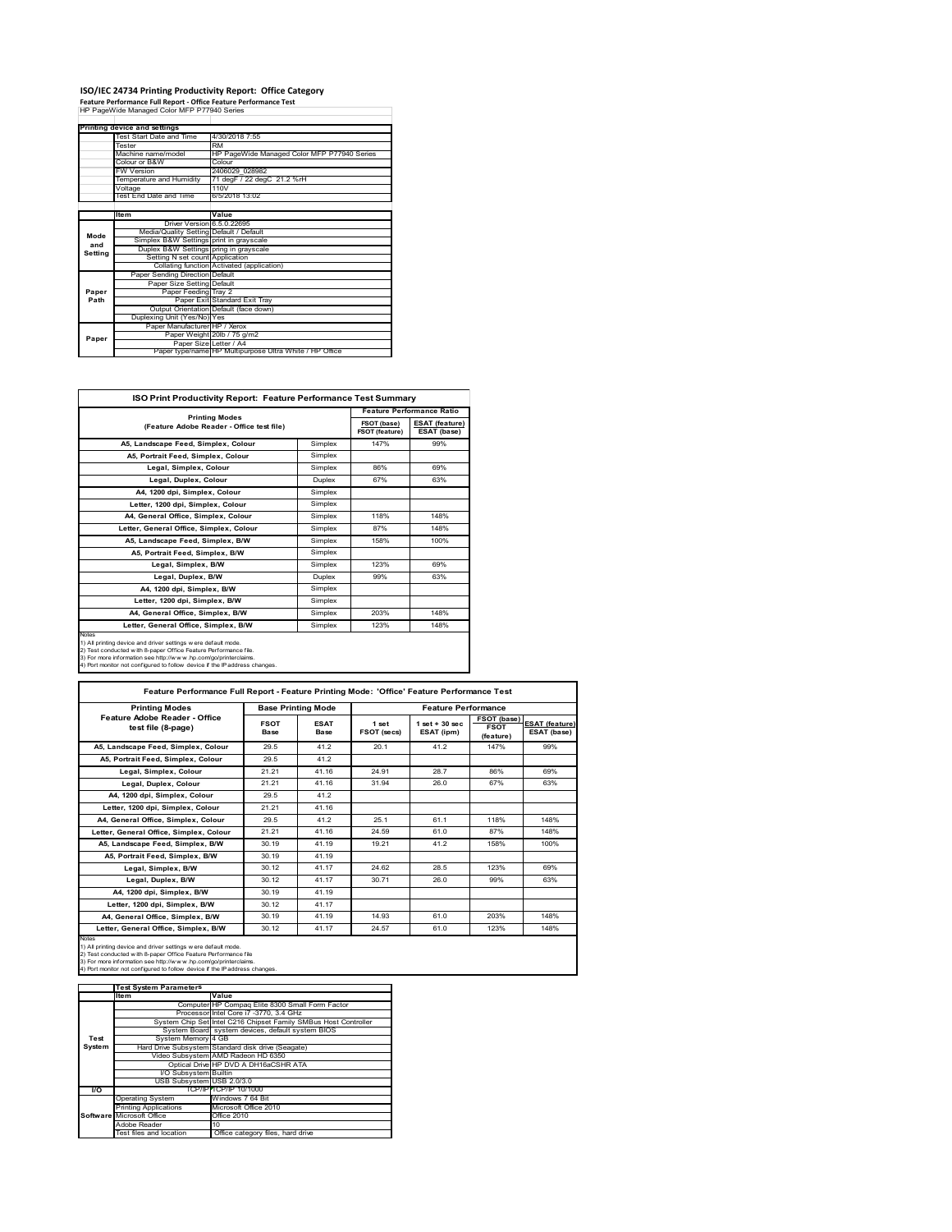### **ISO/IEC 24734 Printing Productivity Report: Office Category**

**Feature Performance Full Report ‐ Office Feature Performance Test** HP PageWide Managed Color MFP P77940 Series

|         | <b>Printing device and settings</b>     |                                                         |  |  |  |
|---------|-----------------------------------------|---------------------------------------------------------|--|--|--|
|         | Test Start Date and Time                | 4/30/2018 7:55                                          |  |  |  |
|         | Tester                                  | <b>RM</b>                                               |  |  |  |
|         | Machine name/model                      | HP PageWide Managed Color MFP P77940 Series<br>Colour   |  |  |  |
|         | Colour or B&W                           |                                                         |  |  |  |
|         | <b>FW Version</b>                       | 2406029 028982                                          |  |  |  |
|         | Temperature and Humidity                | 71 degF / 22 degC 21.2 %rH                              |  |  |  |
|         | Voltage                                 | 110V                                                    |  |  |  |
|         | Test End Date and Time                  | 6/5/2018 13:02                                          |  |  |  |
|         |                                         |                                                         |  |  |  |
|         | <b>Item</b>                             | Value                                                   |  |  |  |
|         | Driver Version 6.5.0.22695              |                                                         |  |  |  |
| Mode    | Media/Quality Setting Default / Default |                                                         |  |  |  |
| and     | Simplex B&W Settings print in grayscale |                                                         |  |  |  |
|         | Duplex B&W Settings pring in grayscale  |                                                         |  |  |  |
| Setting | Setting N set count Application         |                                                         |  |  |  |
|         |                                         | Collating function Activated (application)              |  |  |  |
|         | Paper Sending Direction Default         |                                                         |  |  |  |
|         | Paper Size Setting Default              |                                                         |  |  |  |
| Paper   | Paper Feeding Tray 2                    |                                                         |  |  |  |
| Path    |                                         | Paper Exit Standard Exit Tray                           |  |  |  |
|         |                                         | Output Orientation Default (face down)                  |  |  |  |
|         | Duplexing Unit (Yes/No) Yes             |                                                         |  |  |  |
|         | Paper Manufacturer HP / Xerox           |                                                         |  |  |  |
| Paper   |                                         | Paper Weight 20lb / 75 g/m2                             |  |  |  |
|         | Paper Size Letter / A4                  |                                                         |  |  |  |
|         |                                         | Paper type/name HP Multipurpose Ultra White / HP Office |  |  |  |

 $\sim 10^{11}$ 

| <b>ISO Print Productivity Report: Feature Performance Test Summary</b>                                                                                                                                                                                                                      |                       |                                  |                                      |  |  |
|---------------------------------------------------------------------------------------------------------------------------------------------------------------------------------------------------------------------------------------------------------------------------------------------|-----------------------|----------------------------------|--------------------------------------|--|--|
|                                                                                                                                                                                                                                                                                             |                       | <b>Feature Performance Ratio</b> |                                      |  |  |
| (Feature Adobe Reader - Office test file)                                                                                                                                                                                                                                                   | <b>Printing Modes</b> |                                  | <b>ESAT (feature)</b><br>ESAT (base) |  |  |
| A5, Landscape Feed, Simplex, Colour                                                                                                                                                                                                                                                         | Simplex               | 147%                             | 99%                                  |  |  |
| A5, Portrait Feed, Simplex, Colour                                                                                                                                                                                                                                                          | Simplex               |                                  |                                      |  |  |
| Legal, Simplex, Colour                                                                                                                                                                                                                                                                      | Simplex               | 86%                              | 69%                                  |  |  |
| Legal, Duplex, Colour                                                                                                                                                                                                                                                                       | <b>Duplex</b>         | 67%                              | 63%                                  |  |  |
| A4, 1200 dpi, Simplex, Colour                                                                                                                                                                                                                                                               | Simplex               |                                  |                                      |  |  |
| Letter, 1200 dpi, Simplex, Colour                                                                                                                                                                                                                                                           | Simplex               |                                  |                                      |  |  |
| A4. General Office. Simplex. Colour                                                                                                                                                                                                                                                         | Simplex               | 118%                             | 148%                                 |  |  |
| Letter, General Office, Simplex, Colour                                                                                                                                                                                                                                                     | Simplex               | 87%                              | 148%                                 |  |  |
| A5, Landscape Feed, Simplex, B/W                                                                                                                                                                                                                                                            | Simplex               | 158%                             | 100%                                 |  |  |
| A5, Portrait Feed, Simplex, B/W                                                                                                                                                                                                                                                             | Simplex               |                                  |                                      |  |  |
| Legal, Simplex, B/W                                                                                                                                                                                                                                                                         | Simplex               | 123%                             | 69%                                  |  |  |
| Legal, Duplex, B/W                                                                                                                                                                                                                                                                          | <b>Duplex</b>         | 99%                              | 63%                                  |  |  |
| A4. 1200 dpi. Simplex. B/W                                                                                                                                                                                                                                                                  | Simplex               |                                  |                                      |  |  |
| Letter, 1200 dpi. Simplex, B/W                                                                                                                                                                                                                                                              | Simplex               |                                  |                                      |  |  |
| A4, General Office, Simplex, B/W                                                                                                                                                                                                                                                            | Simplex               | 203%                             | 148%                                 |  |  |
| Letter, General Office, Simplex, B/W                                                                                                                                                                                                                                                        | Simplex               | 123%                             | 148%                                 |  |  |
| Notes<br>1) All printing device and driver settings w ere default mode.<br>2) Test conducted with 8-paper Office Feature Performance file.<br>3) For more information see http://www.hp.com/go/printerclaims.<br>4) Port monitor not configured to follow device if the IP address changes. |                       |                                  |                                      |  |  |

| <b>Printing Modes</b>                               | <b>Base Printing Mode</b> |                     |                      | <b>Feature Performance</b>       |                                         |                                      |  |
|-----------------------------------------------------|---------------------------|---------------------|----------------------|----------------------------------|-----------------------------------------|--------------------------------------|--|
| Feature Adobe Reader - Office<br>test file (8-page) | <b>FSOT</b><br>Base       | <b>ESAT</b><br>Base | 1 set<br>FSOT (secs) | $1$ set $+30$ sec.<br>ESAT (ipm) | FSOT (base)<br><b>FSOT</b><br>(feature) | <b>ESAT (feature)</b><br>ESAT (base) |  |
| A5. Landscape Feed. Simplex. Colour                 | 29.5                      | 41.2                | 20.1                 | 41.2                             | 147%                                    | 99%                                  |  |
| A5. Portrait Feed. Simplex. Colour                  | 29.5                      | 41.2                |                      |                                  |                                         |                                      |  |
| Legal, Simplex, Colour                              | 21.21                     | 41.16               | 24 91                | 28.7                             | 86%                                     | 69%                                  |  |
| Legal, Duplex, Colour                               | 21.21                     | 41.16               | 31.94                | 26.0                             | 67%                                     | 63%                                  |  |
| A4, 1200 dpi, Simplex, Colour                       | 29.5                      | 41.2                |                      |                                  |                                         |                                      |  |
| Letter, 1200 dpi. Simplex, Colour                   | 21.21                     | 41.16               |                      |                                  |                                         |                                      |  |
| A4. General Office. Simplex. Colour                 | 29.5                      | 41.2                | 25.1                 | 61.1                             | 118%                                    | 148%                                 |  |
| Letter, General Office, Simplex, Colour             | 21.21                     | 41.16               | 24.59                | 61.0                             | 87%                                     | 148%                                 |  |
| A5, Landscape Feed, Simplex, B/W                    | 30 19                     | 41.19               | 19.21                | 41.2                             | 158%                                    | 100%                                 |  |
| A5. Portrait Feed. Simplex. B/W                     | 30 19                     | 41.19               |                      |                                  |                                         |                                      |  |
| Legal, Simplex, B/W                                 | 30.12                     | 41.17               | 24.62                | 28.5                             | 123%                                    | 69%                                  |  |
| Legal, Duplex, B/W                                  | 30.12                     | 41.17               | 30 71                | 26.0                             | 99%                                     | 63%                                  |  |
| A4. 1200 dpi. Simplex, B/W                          | 30.19                     | 41.19               |                      |                                  |                                         |                                      |  |
| Letter, 1200 dpi. Simplex, B/W                      | 30.12                     | 41.17               |                      |                                  |                                         |                                      |  |
| A4. General Office. Simplex. B/W                    | 30 19                     | 41.19               | 14 93                | 61.0                             | 203%                                    | 148%                                 |  |
| Letter, General Office, Simplex, B/W                | 30.12                     | 41.17               | 24.57                | 61.0                             | 123%                                    | 148%                                 |  |

Notes<br>1) All printing device and driver settings were default mode.<br>2) Test conducted with 8-paper Office Feature Performance file<br>3) For more information see http://www.hp.com/go/printerclaims.<br>4) Por monitor not configur

|           | <b>Test System Parameters</b> |                                                                 |  |  |  |
|-----------|-------------------------------|-----------------------------------------------------------------|--|--|--|
|           | <b>Item</b>                   | Value                                                           |  |  |  |
|           |                               | Computer HP Compaq Elite 8300 Small Form Factor                 |  |  |  |
|           |                               | Processor Intel Core i7 -3770, 3.4 GHz                          |  |  |  |
|           |                               | System Chip Set Intel C216 Chipset Family SMBus Host Controller |  |  |  |
|           |                               | System Board system devices, default system BIOS                |  |  |  |
| Test      | System Memory 4 GB            |                                                                 |  |  |  |
| System    |                               | Hard Drive Subsystem Standard disk drive (Seagate)              |  |  |  |
|           |                               | Video Subsystem AMD Radeon HD 6350                              |  |  |  |
|           |                               | Optical Drive HP DVD A DH16aCSHR ATA                            |  |  |  |
|           | I/O Subsystem Builtin         |                                                                 |  |  |  |
|           | USB Subsystem USB 2.0/3.0     |                                                                 |  |  |  |
| <b>VO</b> |                               | TCP/IPPTCP/IP 10/1000                                           |  |  |  |
|           | <b>Operating System</b>       | Windows 7 64 Bit                                                |  |  |  |
|           | <b>Printing Applications</b>  | Microsoft Office 2010                                           |  |  |  |
|           | Software Microsoft Office     | Office 2010                                                     |  |  |  |
|           | Adobe Reader                  | 10                                                              |  |  |  |
|           | Test files and location       | Office category files, hard drive                               |  |  |  |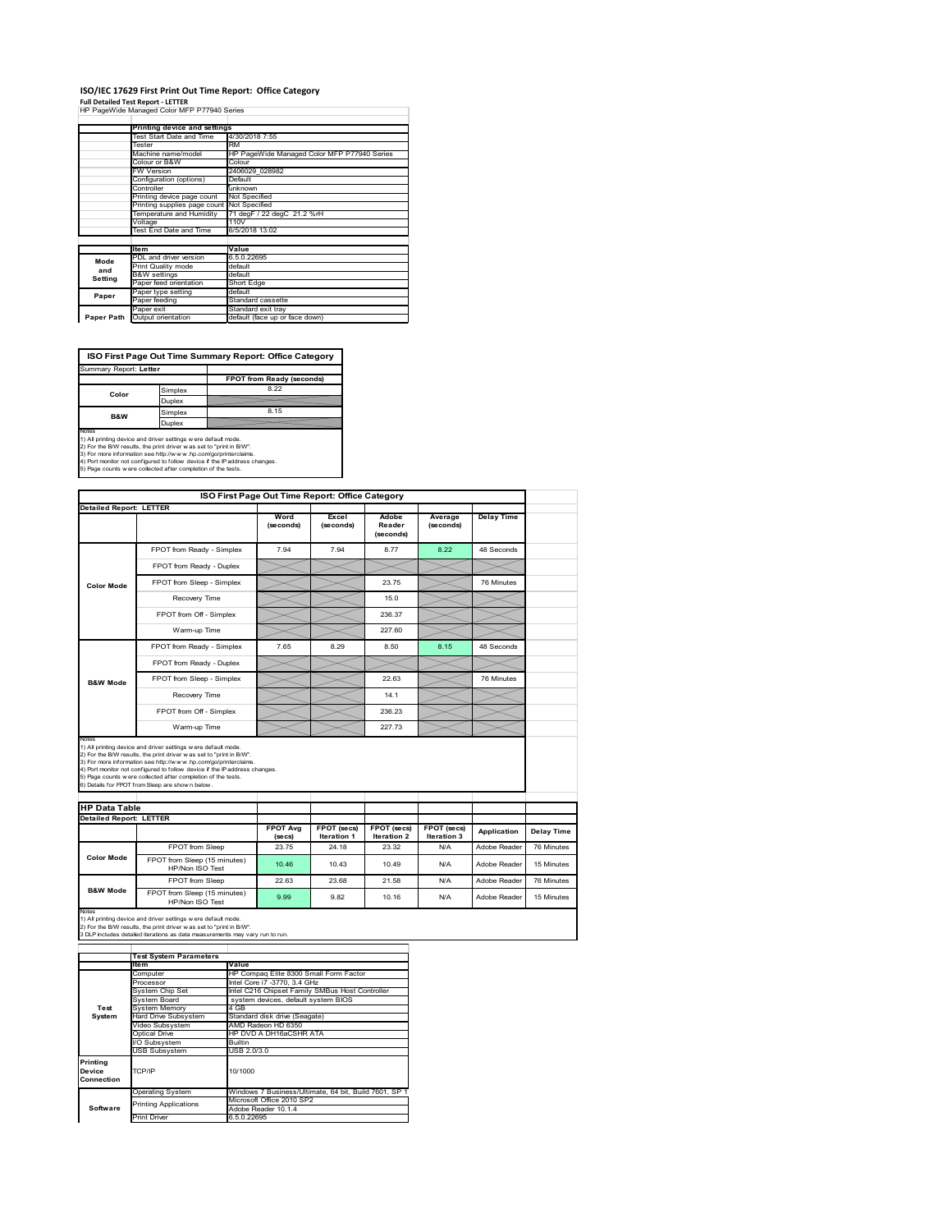# **ISO/IEC 17629 First Print Out Time Report: Office Category**

**Full Detailed Test Report ‐ LETTER** HP PageWide Managed Color MFP P77940 Series

|            | Printing device and settings               |                                                   |  |  |  |
|------------|--------------------------------------------|---------------------------------------------------|--|--|--|
|            | Test Start Date and Time                   | 4/30/2018 7:55                                    |  |  |  |
|            | Tester                                     | RM<br>HP PageWide Managed Color MFP P77940 Series |  |  |  |
|            | Machine name/model                         |                                                   |  |  |  |
|            | Colour or B&W                              | Colour                                            |  |  |  |
|            | FW Version                                 | 2406029 028982                                    |  |  |  |
|            | Configuration (options)                    | Default                                           |  |  |  |
|            | Controller                                 | unknown                                           |  |  |  |
|            | Printing device page count                 | Not Specified                                     |  |  |  |
|            | Printing supplies page count Not Specified |                                                   |  |  |  |
|            | Temperature and Humidity                   | 71 degF / 22 degC 21.2 %rH                        |  |  |  |
|            | Voltage                                    | 110V                                              |  |  |  |
|            | Test End Date and Time                     | 6/5/2018 13:02                                    |  |  |  |
|            |                                            |                                                   |  |  |  |
|            | <b>Item</b>                                | Value                                             |  |  |  |
| Mode       | PDL and driver version                     | 6.5.0.22695                                       |  |  |  |
| and        | Print Quality mode                         | default                                           |  |  |  |
| Setting    | <b>B&amp;W</b> settings                    | default                                           |  |  |  |
|            | Paper feed orientation                     | Short Edge                                        |  |  |  |
| Paper      | Paper type setting                         | default                                           |  |  |  |
|            | Paper feeding                              | Standard cassette                                 |  |  |  |
|            | Paper exit                                 | Standard exit tray                                |  |  |  |
| Paper Path | Output orientation                         | default (face up or face down)                    |  |  |  |

ń

**ISO First Page Out Time Summary Report: Office Category**

| FPOT from Ready (seconds)                                                                                                                                                                                                                                                                                                                               |
|---------------------------------------------------------------------------------------------------------------------------------------------------------------------------------------------------------------------------------------------------------------------------------------------------------------------------------------------------------|
| 8.22                                                                                                                                                                                                                                                                                                                                                    |
|                                                                                                                                                                                                                                                                                                                                                         |
| 8.15                                                                                                                                                                                                                                                                                                                                                    |
|                                                                                                                                                                                                                                                                                                                                                         |
| 1) All printing device and driver settings w ere default mode.<br>2) For the B/W results, the print driver was set to "print in B/W".<br>3) For more information see http://www.hp.com/go/printerclaims.<br>4) Port monitor not configured to follow device if the IP address changes.<br>5) Page counts w ere collected after completion of the tests. |
|                                                                                                                                                                                                                                                                                                                                                         |

|                                                        | ISO First Page Out Time Report: Office Category                                                                                                                                                                                                                                                                                                                                                             |                            |                            |                              |                            |                   |  |
|--------------------------------------------------------|-------------------------------------------------------------------------------------------------------------------------------------------------------------------------------------------------------------------------------------------------------------------------------------------------------------------------------------------------------------------------------------------------------------|----------------------------|----------------------------|------------------------------|----------------------------|-------------------|--|
| <b>Detailed Report: LETTER</b>                         |                                                                                                                                                                                                                                                                                                                                                                                                             |                            |                            |                              |                            |                   |  |
|                                                        |                                                                                                                                                                                                                                                                                                                                                                                                             | Word<br>(seconds)          | Excel<br>(seconds)         | Adobe<br>Reader<br>(seconds) | Average<br>(seconds)       | <b>Delay Time</b> |  |
|                                                        | FPOT from Ready - Simplex                                                                                                                                                                                                                                                                                                                                                                                   | 7.94                       | 7.94                       | 8.77                         | 8.22                       | 48 Seconds        |  |
|                                                        | FPOT from Ready - Duplex                                                                                                                                                                                                                                                                                                                                                                                    |                            |                            |                              |                            |                   |  |
| <b>Color Mode</b>                                      | FPOT from Sleep - Simplex                                                                                                                                                                                                                                                                                                                                                                                   |                            |                            | 23.75                        |                            | 76 Minutes        |  |
|                                                        | Recovery Time                                                                                                                                                                                                                                                                                                                                                                                               |                            |                            | 15.0                         |                            |                   |  |
|                                                        | FPOT from Off - Simplex                                                                                                                                                                                                                                                                                                                                                                                     |                            |                            | 236.37                       |                            |                   |  |
|                                                        | Warm-up Time                                                                                                                                                                                                                                                                                                                                                                                                |                            |                            | 227.60                       |                            |                   |  |
|                                                        | FPOT from Ready - Simplex                                                                                                                                                                                                                                                                                                                                                                                   | 7.65                       | 8.29                       | 8.50                         | 8.15                       | 48 Seconds        |  |
|                                                        | FPOT from Ready - Duplex                                                                                                                                                                                                                                                                                                                                                                                    |                            |                            |                              |                            |                   |  |
| <b>B&amp;W Mode</b>                                    | FPOT from Sleep - Simplex                                                                                                                                                                                                                                                                                                                                                                                   |                            |                            | 22.63                        |                            | 76 Minutes        |  |
|                                                        |                                                                                                                                                                                                                                                                                                                                                                                                             |                            |                            | 14.1                         |                            |                   |  |
|                                                        | Recovery Time                                                                                                                                                                                                                                                                                                                                                                                               |                            |                            |                              |                            |                   |  |
|                                                        | FPOT from Off - Simplex                                                                                                                                                                                                                                                                                                                                                                                     |                            |                            | 236.23                       |                            |                   |  |
| Notes                                                  | Warm-up Time                                                                                                                                                                                                                                                                                                                                                                                                |                            |                            | 22773                        |                            |                   |  |
|                                                        | 1) All printing device and driver settings w ere default mode.<br>2) For the B/W results, the print driver was set to "print in B/W".<br>3) For more information see http://www.hp.com/go/printerclaims.<br>4) Port monitor not configured to follow device if the IP address changes.<br>5) Page counts w ere collected after completion of the tests.<br>6) Details for FPOT from Sleep are show n below. |                            |                            |                              |                            |                   |  |
|                                                        |                                                                                                                                                                                                                                                                                                                                                                                                             |                            |                            |                              |                            |                   |  |
| <b>HP Data Table</b><br><b>Detailed Report: LETTER</b> |                                                                                                                                                                                                                                                                                                                                                                                                             | <b>FPOT Avg</b><br>(se cs) | FPOT (secs)<br>Iteration 1 | FPOT (secs)<br>Iteration 2   | FPOT (secs)<br>Iteration 3 | Application       |  |
|                                                        | FPOT from Sleep                                                                                                                                                                                                                                                                                                                                                                                             | 2375                       | 24 18                      | 23.32                        | N/A                        | Adobe Reader      |  |
| <b>Color Mode</b>                                      | FPOT from Sleep (15 minutes)<br>HP/Non ISO Test                                                                                                                                                                                                                                                                                                                                                             | 10.46                      | 10.43                      | 10.49                        | N/A                        | Adobe Reader      |  |
| <b>B&amp;W Mode</b>                                    | FPOT from Sleep                                                                                                                                                                                                                                                                                                                                                                                             | 22.63                      | 23.68                      | 21.58                        | N/A                        | Adobe Reader      |  |

Notes<br>1) All printing device and driver settings w ere default mode.<br>2) For the B/W results, the print driver w as set to "print in B/W".<br>3 DLP includes detailed iterations as data measurements may vary run to run.

|            | <b>Test System Parameters</b> |                                                       |  |  |
|------------|-------------------------------|-------------------------------------------------------|--|--|
|            | <b>Item</b>                   | Value                                                 |  |  |
|            | Computer                      | HP Compaq Elite 8300 Small Form Factor                |  |  |
|            | Processor                     | Intel Core i7 -3770, 3.4 GHz                          |  |  |
|            | System Chip Set               | Intel C216 Chipset Family SMBus Host Controller       |  |  |
|            | System Board                  | system devices, default system BIOS                   |  |  |
| Test       | <b>System Memory</b>          | 4 GB                                                  |  |  |
| System     | Hard Drive Subsystem          | Standard disk drive (Seagate)                         |  |  |
|            | Video Subsystem               | AMD Radeon HD 6350                                    |  |  |
|            | Optical Drive                 | HP DVD A DH16aCSHR ATA                                |  |  |
|            | I/O Subsystem                 | <b>Builtin</b>                                        |  |  |
|            | <b>USB Subsystem</b>          | USB 2.0/3.0                                           |  |  |
| Printing   |                               |                                                       |  |  |
| Device     | TCP/IP                        | 10/1000                                               |  |  |
| Connection |                               |                                                       |  |  |
|            | <b>Operating System</b>       | Windows 7 Business/Ultimate, 64 bit, Build 7601, SP 1 |  |  |
|            | <b>Printing Applications</b>  | Microsoft Office 2010 SP2                             |  |  |
| Software   |                               | Adobe Reader 10.1.4                                   |  |  |
|            | <b>Print Driver</b>           | 6.5.0.22695                                           |  |  |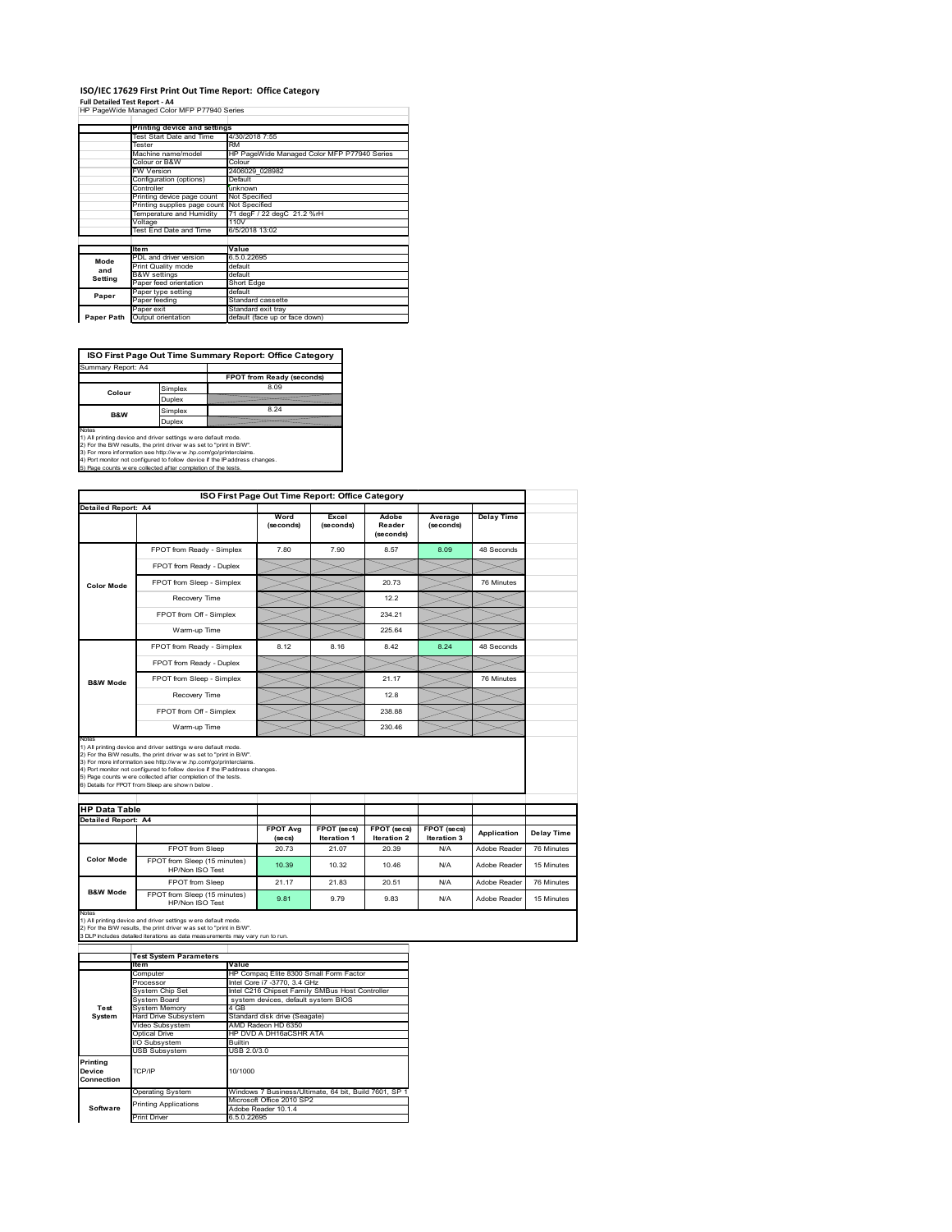## **ISO/IEC 17629 First Print Out Time Report: Office Category**

**Full Detailed Test Report ‐ A4** HP PageWide Managed Color MFP P77940 Series

|            | Printing device and settings |                                             |  |  |  |  |  |
|------------|------------------------------|---------------------------------------------|--|--|--|--|--|
|            | Test Start Date and Time     | 4/30/2018 7:55                              |  |  |  |  |  |
|            | Tester                       | <b>RM</b>                                   |  |  |  |  |  |
|            | Machine name/model           | HP PageWide Managed Color MFP P77940 Series |  |  |  |  |  |
|            | Colour or B&W                | Colour                                      |  |  |  |  |  |
|            | <b>FW Version</b>            | 2406029 028982                              |  |  |  |  |  |
|            | Configuration (options)      | Default                                     |  |  |  |  |  |
|            | Controller                   | unknown                                     |  |  |  |  |  |
|            | Printing device page count   | Not Specified                               |  |  |  |  |  |
|            | Printing supplies page count | Not Specified                               |  |  |  |  |  |
|            | Temperature and Humidity     | 71 degF / 22 degC 21.2 %rH                  |  |  |  |  |  |
|            | Voltage                      | 110V                                        |  |  |  |  |  |
|            | Test End Date and Time       | 6/5/2018 13:02                              |  |  |  |  |  |
|            |                              |                                             |  |  |  |  |  |
|            | <b>Item</b>                  | Value                                       |  |  |  |  |  |
| Mode       | PDL and driver version       | 6.5.0.22695                                 |  |  |  |  |  |
| and        | Print Quality mode           | default                                     |  |  |  |  |  |
| Setting    | <b>B&amp;W</b> settings      | default                                     |  |  |  |  |  |
|            | Paper feed orientation       | Short Edge                                  |  |  |  |  |  |
| Paper      | Paper type setting           | default                                     |  |  |  |  |  |
|            | Paper feeding                | Standard cassette                           |  |  |  |  |  |
|            | Paper exit                   | Standard exit tray                          |  |  |  |  |  |
| Paper Path | Output orientation           | default (face up or face down)              |  |  |  |  |  |

**ISO First Page Out Time Summary Report: Office Category**

| Summary Report: A4 |         |                           |
|--------------------|---------|---------------------------|
|                    |         | FPOT from Ready (seconds) |
| Colour             | Simplex | 8.09                      |
|                    | Duplex  |                           |
| <b>B&amp;W</b>     | Simplex | 8.24                      |
|                    | Duplex  |                           |
| $k = 1 - 1$        |         |                           |

Notes<br>1) All printing device and driver settings were default mode.<br>2) For the BAV results, the print driver was set to "print in BAV".<br>3) For more information see http://www.hp.com/golprinterclaims.<br>4) Port monitor not co

|                                                             |                                                                                                                                                                                                                                                                                                                                                                                                             | ISO First Page Out Time Report: Office Category |                             |                              |                      |                   |                          |
|-------------------------------------------------------------|-------------------------------------------------------------------------------------------------------------------------------------------------------------------------------------------------------------------------------------------------------------------------------------------------------------------------------------------------------------------------------------------------------------|-------------------------------------------------|-----------------------------|------------------------------|----------------------|-------------------|--------------------------|
| Detailed Report: A4                                         |                                                                                                                                                                                                                                                                                                                                                                                                             | Word<br>(seconds)                               | Excel<br>(seconds)          | Adobe<br>Reader<br>(seconds) | Average<br>(seconds) | <b>Delay Time</b> |                          |
| <b>Color Mode</b>                                           | FPOT from Ready - Simplex                                                                                                                                                                                                                                                                                                                                                                                   | 7.80                                            | 7.90                        | 8.57                         | 8.09                 | 48 Seconds        |                          |
|                                                             | FPOT from Ready - Duplex                                                                                                                                                                                                                                                                                                                                                                                    |                                                 |                             |                              |                      |                   |                          |
|                                                             | FPOT from Sleep - Simplex                                                                                                                                                                                                                                                                                                                                                                                   |                                                 |                             | 20.73                        |                      | 76 Minutes        |                          |
|                                                             | Recovery Time                                                                                                                                                                                                                                                                                                                                                                                               |                                                 |                             | 12.2                         |                      |                   |                          |
|                                                             | FPOT from Off - Simplex                                                                                                                                                                                                                                                                                                                                                                                     |                                                 |                             | 234.21                       |                      |                   |                          |
|                                                             | Warm-up Time                                                                                                                                                                                                                                                                                                                                                                                                |                                                 |                             | 225.64                       |                      |                   |                          |
|                                                             | FPOT from Ready - Simplex                                                                                                                                                                                                                                                                                                                                                                                   | 8.12                                            | 8.16                        | 8.42                         | 8.24                 | 48 Seconds        |                          |
|                                                             | FPOT from Ready - Duplex                                                                                                                                                                                                                                                                                                                                                                                    |                                                 |                             |                              |                      |                   |                          |
| <b>B&amp;W Mode</b>                                         | FPOT from Sleep - Simplex                                                                                                                                                                                                                                                                                                                                                                                   |                                                 |                             | 21.17                        |                      | 76 Minutes        |                          |
|                                                             | Recovery Time                                                                                                                                                                                                                                                                                                                                                                                               |                                                 |                             | 12.8                         |                      |                   |                          |
|                                                             |                                                                                                                                                                                                                                                                                                                                                                                                             |                                                 |                             |                              |                      |                   |                          |
|                                                             | FPOT from Off - Simplex                                                                                                                                                                                                                                                                                                                                                                                     |                                                 |                             | 238.88                       |                      |                   |                          |
|                                                             | Warm-up Time                                                                                                                                                                                                                                                                                                                                                                                                |                                                 |                             | 230.46                       |                      |                   |                          |
| Notes<br><b>HP Data Table</b><br><b>Detailed Report: A4</b> | 1) All printing device and driver settings w ere default mode.<br>2) For the B/W results, the print driver was set to "print in B/W".<br>3) For more information see http://www.hp.com/go/printerclaims.<br>4) Port monitor not configured to follow device if the IP address changes.<br>5) Page counts w ere collected after completion of the tests.<br>6) Details for FPOT from Sleep are show n below. | <b>FPOT Avg</b>                                 | FPOT (secs)                 | FPOT (secs)                  | FPOT (secs)          | Application       |                          |
|                                                             | FPOT from Sleep                                                                                                                                                                                                                                                                                                                                                                                             | (se cs)<br>20.73                                | <b>Iteration 1</b><br>21.07 | Iteration 2<br>20.39         | Iteration 3<br>N/A   | Adobe Reader      | Delay Time<br>76 Minutes |
| <b>Color Mode</b>                                           | FPOT from Sleep (15 minutes)<br>HP/Non ISO Test                                                                                                                                                                                                                                                                                                                                                             | 10.39                                           | 10.32                       | 10.46                        | N/A                  | Adobe Reader      | 15 Minutes               |
| <b>B&amp;W Mode</b>                                         | FPOT from Sleep                                                                                                                                                                                                                                                                                                                                                                                             | 21.17                                           | 21.83                       | 20.51                        | N/A                  | Adobe Reader      | 76 Minutes               |

|                                            | <b>Test System Parameters</b> |                                                       |  |  |  |  |
|--------------------------------------------|-------------------------------|-------------------------------------------------------|--|--|--|--|
|                                            | lte m                         | Value                                                 |  |  |  |  |
|                                            | Computer                      | HP Compag Elite 8300 Small Form Factor                |  |  |  |  |
|                                            | Processor                     | Intel Core i7 -3770, 3.4 GHz                          |  |  |  |  |
|                                            | System Chip Set               | Intel C216 Chipset Family SMBus Host Controller       |  |  |  |  |
|                                            | System Board                  | system devices, default system BIOS                   |  |  |  |  |
| Test                                       | <b>System Memory</b>          | 4 GB                                                  |  |  |  |  |
| System                                     | Hard Drive Subsystem          | Standard disk drive (Seagate)                         |  |  |  |  |
|                                            | Video Subsystem               | AMD Radeon HD 6350                                    |  |  |  |  |
|                                            | Optical Drive                 | HP DVD A DH16aCSHR ATA                                |  |  |  |  |
|                                            | I/O Subsystem                 | <b>Builtin</b>                                        |  |  |  |  |
|                                            | <b>USB Subsystem</b>          | USB 2.0/3.0                                           |  |  |  |  |
| Printing<br>TCP/IP<br>Device<br>Connection |                               | 10/1000                                               |  |  |  |  |
|                                            | <b>Operating System</b>       | Windows 7 Business/Ultimate, 64 bit, Build 7601, SP 1 |  |  |  |  |
|                                            | <b>Printing Applications</b>  | Microsoft Office 2010 SP2                             |  |  |  |  |
| Software                                   |                               | Adobe Reader 10.1.4                                   |  |  |  |  |
|                                            | Print Driver                  | 6.5.0.22695                                           |  |  |  |  |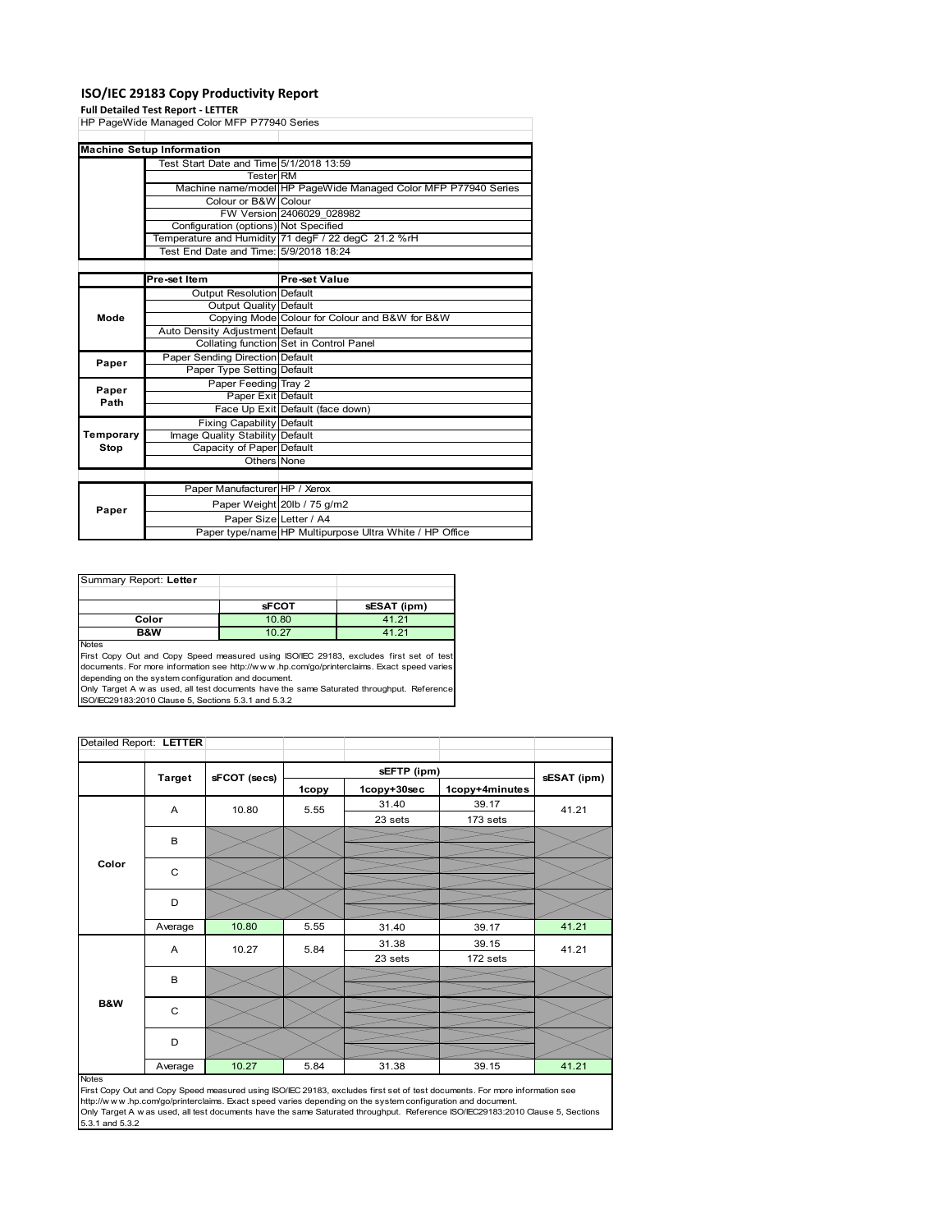### **ISO/IEC 29183 Copy Productivity Report**

### **Full Detailed Test Report ‐ LETTER**

HP PageWide Managed Color MFP P77940 Series Test Start Date and Time 5/1/2018 13:59 Tester RM Machine name/model HP PageWide Managed Color MFP P77940 Series Colour or B&W Colour FW Version 2406029\_028982 Configuration (options) Not Specified Temperature and Humidity 71 degF / 22 degC 21.2 %rH Test End Date and Time: 5/9/2018 18:24 **Pre-set Item Pre-set Value** Output Resolution Default Output Quality Default Copying Mode Colour for Colour and B&W for B&W Auto Density Adjustment Default Collating function Set in Control Panel Paper Sending Direction Default Paper Type Setting Paper Feeding Tray 2 Paper Exit Default Face Up Exit Default (face down) Fixing Capability Default Image Quality Stability Default Capacity of Paper Default Others None Paper Manufacturer HP / Xerox Paper Weight 20lb / 75 g/m2 Paper Size Letter / A4 Paper type/name HP Multipurpose Ultra White / HP Office **Machine Setup Information Paper Paper Paper Path Temporary Stop Mode**

| Summary Report: Letter |              |             |
|------------------------|--------------|-------------|
|                        |              |             |
|                        | <b>sFCOT</b> | sESAT (ipm) |
| Color                  | 10.80        | 41.21       |
| B&W                    | 10.27        | 41.21       |
| <b>Noton</b>           |              |             |

Notes First Copy Out and Copy Speed measured using ISO/IEC 29183, excludes first set of test documents. For more information see http://w w w .hp.com/go/printerclaims. Exact speed varies depending on the system configuration and document.

Only Target A w as used, all test documents have the same Saturated throughput. Reference ISO/IEC29183:2010 Clause 5, Sections 5.3.1 and 5.3.2

| Detailed Report: LETTER |               |              |       |             |                |             |
|-------------------------|---------------|--------------|-------|-------------|----------------|-------------|
|                         |               |              |       | sEFTP (ipm) |                |             |
|                         | <b>Target</b> | sFCOT (secs) | 1copy | 1copy+30sec | 1copy+4minutes | sESAT (ipm) |
|                         | A             | 10.80        | 5.55  | 31.40       | 39.17          | 41.21       |
|                         |               |              |       | 23 sets     | 173 sets       |             |
|                         | В             |              |       |             |                |             |
| Color                   | C             |              |       |             |                |             |
|                         | D             |              |       |             |                |             |
|                         | Average       | 10.80        | 5.55  | 31.40       | 39.17          | 41.21       |
|                         | Α             | 10.27        | 5.84  | 31.38       | 39.15          | 41.21       |
|                         |               |              |       | 23 sets     | 172 sets       |             |
|                         | B             |              |       |             |                |             |
| B&W                     | $\mathsf{C}$  |              |       |             |                |             |
|                         | D             |              |       |             |                |             |
|                         | Average       | 10.27        | 5.84  | 31.38       | 39.15          | 41.21       |

#### Notes

First Copy Out and Copy Speed measured using ISO/IEC 29183, excludes first set of test documents. For more information see http://w w w .hp.com/go/printerclaims. Exact speed varies depending on the system configuration and document. Only Target A w as used, all test documents have the same Saturated throughput. Reference ISO/IEC29183:2010 Clause 5, Sections 5.3.1 and 5.3.2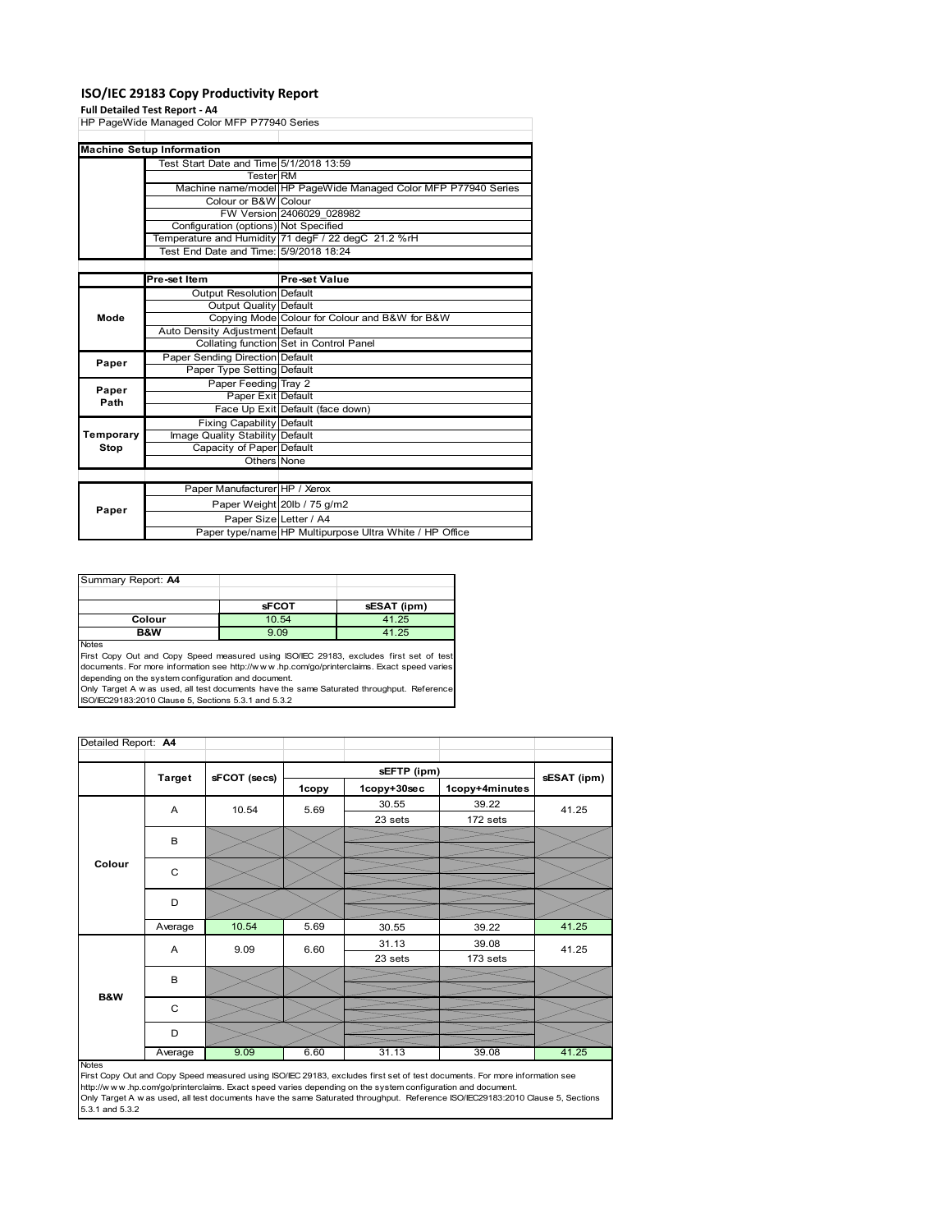## **ISO/IEC 29183 Copy Productivity Report**

### **Full Detailed Test Report ‐ A4**

|           | <b>LAIL NETAILER LEST DENNIT. WA</b>        |                                                                |  |  |  |
|-----------|---------------------------------------------|----------------------------------------------------------------|--|--|--|
|           | HP PageWide Managed Color MFP P77940 Series |                                                                |  |  |  |
|           |                                             |                                                                |  |  |  |
|           | <b>Machine Setup Information</b>            |                                                                |  |  |  |
|           | Test Start Date and Time 5/1/2018 13:59     |                                                                |  |  |  |
|           | Tester RM                                   |                                                                |  |  |  |
|           |                                             | Machine name/model HP PageWide Managed Color MFP P77940 Series |  |  |  |
|           | Colour or B&W Colour                        |                                                                |  |  |  |
|           |                                             | FW Version 2406029 028982                                      |  |  |  |
|           | Configuration (options) Not Specified       |                                                                |  |  |  |
|           |                                             | Temperature and Humidity 71 degF / 22 degC 21.2 %rH            |  |  |  |
|           | Test End Date and Time: 5/9/2018 18:24      |                                                                |  |  |  |
|           |                                             |                                                                |  |  |  |
|           | Pre-set Item                                | Pre-set Value                                                  |  |  |  |
|           | Output Resolution Default                   |                                                                |  |  |  |
| Mode      | <b>Output Quality Default</b>               |                                                                |  |  |  |
|           |                                             | Copying Mode Colour for Colour and B&W for B&W                 |  |  |  |
|           | Auto Density Adjustment Default             |                                                                |  |  |  |
|           |                                             | Collating function Set in Control Panel                        |  |  |  |
| Paper     | Paper Sending Direction Default             |                                                                |  |  |  |
|           | Paper Type Setting Default                  |                                                                |  |  |  |
| Paper     | Paper Feeding Tray 2                        |                                                                |  |  |  |
| Path      | Paper Exit Default                          |                                                                |  |  |  |
|           |                                             | Face Up Exit Default (face down)                               |  |  |  |
|           | <b>Fixing Capability Default</b>            |                                                                |  |  |  |
| Temporary | Image Quality Stability Default             |                                                                |  |  |  |
| Stop      | Capacity of Paper Default                   |                                                                |  |  |  |
|           | Others None                                 |                                                                |  |  |  |
|           |                                             |                                                                |  |  |  |
|           | Paper Manufacturer HP / Xerox               |                                                                |  |  |  |
|           |                                             | Paper Weight 20lb / 75 g/m2                                    |  |  |  |
| Paper     | Paper Size Letter / A4                      |                                                                |  |  |  |
|           |                                             | Paper type/name HP Multipurpose Ultra White / HP Office        |  |  |  |

| Summary Report: A4 |              |             |
|--------------------|--------------|-------------|
|                    |              |             |
|                    | <b>sFCOT</b> | sESAT (ipm) |
| Colour             | 10.54        | 41.25       |
| B&W                | 9.09         | 41.25       |
| <b>Noton</b>       |              |             |

Notes<br>First Copy Out and Copy Speed measured using ISO/IEC 29183, excludes first set of test<br>documents. For more information see http://www.hp.com/go/printerclaims. Exact speed varies<br>depending on the system configuration

| Detailed Report: A4 |               |              |       |             |                |             |  |
|---------------------|---------------|--------------|-------|-------------|----------------|-------------|--|
|                     |               |              |       | sEFTP (ipm) |                |             |  |
|                     | <b>Target</b> | sFCOT (secs) | 1copy | 1copy+30sec | 1copy+4minutes | sESAT (ipm) |  |
|                     | Α             | 10.54        | 5.69  | 30.55       | 39.22          | 41.25       |  |
|                     |               |              |       | 23 sets     | 172 sets       |             |  |
|                     | B             |              |       |             |                |             |  |
|                     |               |              |       |             |                |             |  |
| Colour              | $\mathsf{C}$  |              |       |             |                |             |  |
|                     |               |              |       |             |                |             |  |
|                     | D             |              |       |             |                |             |  |
|                     |               |              |       |             |                |             |  |
|                     | Average       | 10.54        | 5.69  | 30.55       | 39.22          | 41.25       |  |
|                     | A             | 9.09         | 6.60  | 31.13       | 39.08          | 41.25       |  |
|                     |               |              |       | 23 sets     | 173 sets       |             |  |
|                     | B             |              |       |             |                |             |  |
| <b>B&amp;W</b>      |               |              |       |             |                |             |  |
|                     | C             |              |       |             |                |             |  |
|                     |               |              |       |             |                |             |  |
|                     | D             |              |       |             |                |             |  |
|                     | Average       | 9.09         | 6.60  | 31.13       | 39.08          | 41.25       |  |

Average 8.09 6.60 31.13 39.08 41.25<br>
First Copy Out and Copy Speed measured using ISO/IEC 29183, excludes first set of test documents. For more information see<br>
First://www.hp.com/go/printerclaims. Exact speed varies depen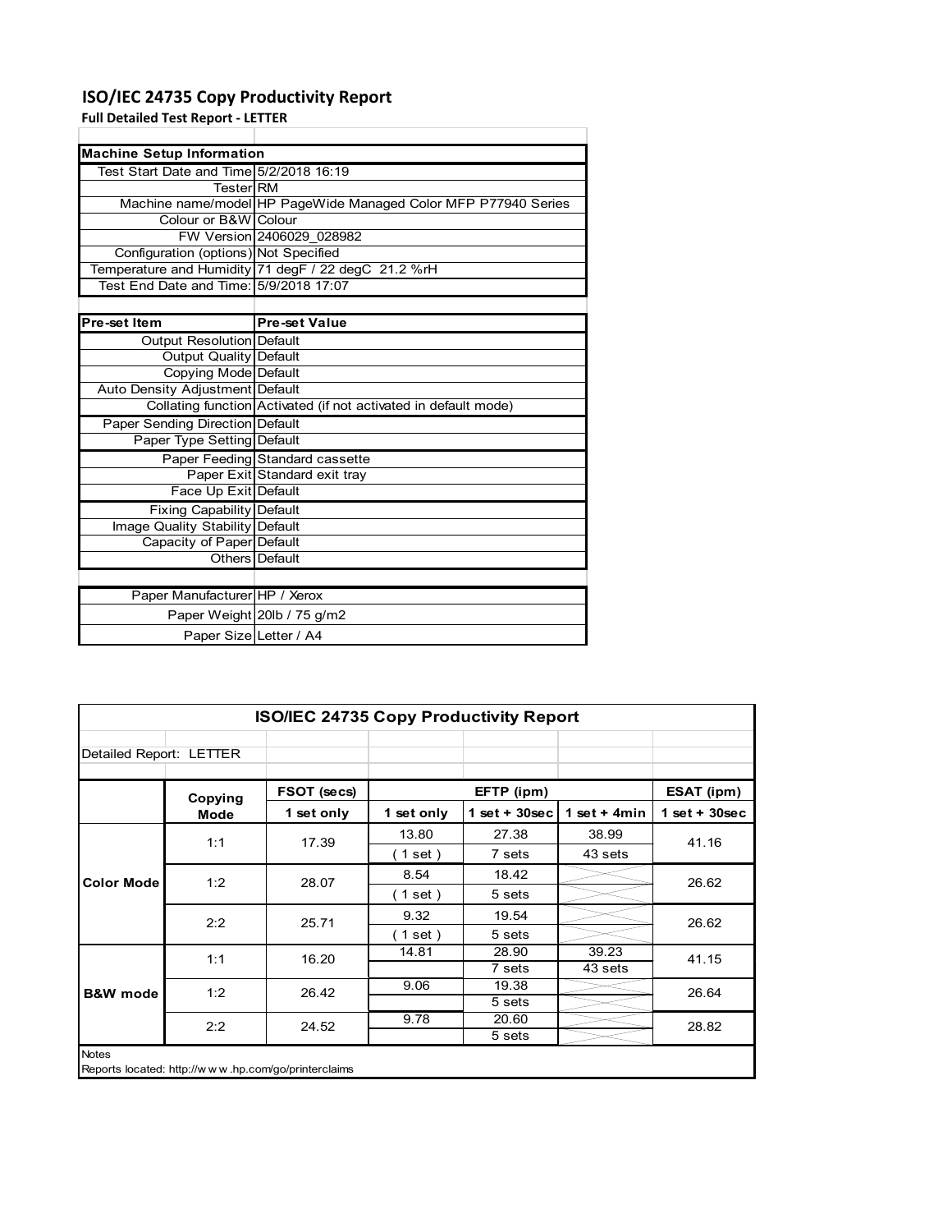## **ISO/IEC 24735 Copy Productivity Report**

Paper Weight 20lb / 75 g/m2 Paper Size Letter / A4

**Full Detailed Test Report ‐ LETTER**

| <b>Machine Setup Information</b>        |                                                                 |
|-----------------------------------------|-----------------------------------------------------------------|
| Test Start Date and Time 5/2/2018 16:19 |                                                                 |
| TesterIRM                               |                                                                 |
|                                         | Machine name/model HP PageWide Managed Color MFP P77940 Series  |
| Colour or B&W Colour                    |                                                                 |
|                                         | FW Version 2406029 028982                                       |
| Configuration (options) Not Specified   |                                                                 |
|                                         | Temperature and Humidity 71 degF / 22 degC 21.2 %rH             |
| Test End Date and Time: 5/9/2018 17:07  |                                                                 |
|                                         |                                                                 |
| <b>Pre-set Item</b>                     | <b>Pre-set Value</b>                                            |
| Output Resolution Default               |                                                                 |
| Output Quality Default                  |                                                                 |
| <b>Copying Mode Default</b>             |                                                                 |
| Auto Density Adjustment Default         |                                                                 |
|                                         | Collating function Activated (if not activated in default mode) |
| <b>Paper Sending Direction Default</b>  |                                                                 |
| Paper Type Setting Default              |                                                                 |
|                                         | Paper Feeding Standard cassette                                 |
|                                         | Paper Exit Standard exit tray                                   |
| Face Up Exit Default                    |                                                                 |
| <b>Fixing Capability Default</b>        |                                                                 |
| Image Quality Stability Default         |                                                                 |
| Capacity of Paper Default               |                                                                 |
|                                         | Others Default                                                  |
|                                         |                                                                 |
| Paper Manufacturer HP / Xerox           |                                                                 |

| <b>ISO/IEC 24735 Copy Productivity Report</b> |         |                                                     |             |                 |                |                  |  |  |
|-----------------------------------------------|---------|-----------------------------------------------------|-------------|-----------------|----------------|------------------|--|--|
| Detailed Report: LETTER                       |         |                                                     |             |                 |                |                  |  |  |
|                                               | Copying | FSOT (secs)                                         |             | EFTP (ipm)      |                | ESAT (ipm)       |  |  |
|                                               | Mode    | 1 set only                                          | 1 set only  | $1$ set + 30sec | 1 set + $4min$ | $1 set + 30 sec$ |  |  |
|                                               | 1:1     | 17.39                                               | 13.80       | 27.38           | 38.99          | 41.16            |  |  |
|                                               |         |                                                     | (1 set)     | 7 sets          | 43 sets        |                  |  |  |
| <b>Color Mode</b>                             | 1:2     | 28.07                                               | 8.54        | 18.42           |                | 26.62            |  |  |
|                                               |         |                                                     | (1 set)     | 5 sets          |                |                  |  |  |
|                                               | 2:2     | 25.71                                               | 9.32        | 19.54           |                | 26.62            |  |  |
|                                               |         |                                                     | $1$ set $)$ | 5 sets          |                |                  |  |  |
|                                               | 1:1     | 16.20                                               | 14.81       | 28.90           | 39.23          | 41.15            |  |  |
|                                               |         |                                                     |             | 7 sets          | 43 sets        |                  |  |  |
| <b>B&amp;W</b> mode                           | 1:2     | 26.42                                               | 9.06        | 19.38           |                | 26.64            |  |  |
|                                               |         |                                                     |             | 5 sets          |                |                  |  |  |
|                                               | 2:2     | 24.52                                               | 9.78        | 20.60           |                | 28.82            |  |  |
|                                               |         |                                                     |             | 5 sets          |                |                  |  |  |
| <b>Notes</b>                                  |         | Reports located: http://www.hp.com/go/printerclaims |             |                 |                |                  |  |  |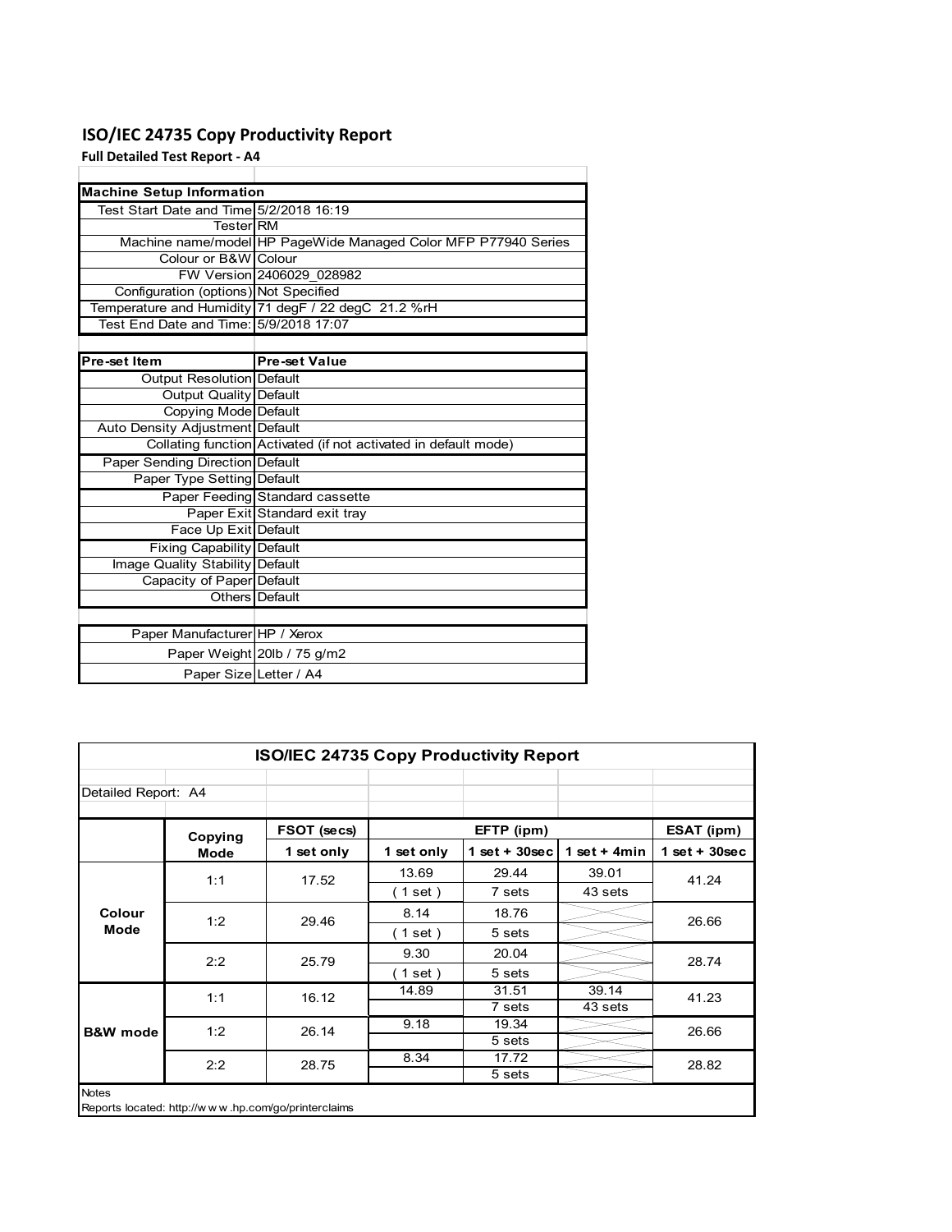# **ISO/IEC 24735 Copy Productivity Report**

**Full Detailed Test Report ‐ A4**

| <b>Machine Setup Information</b>        |                                                                 |
|-----------------------------------------|-----------------------------------------------------------------|
| Test Start Date and Time 5/2/2018 16:19 |                                                                 |
| <b>TesterIRM</b>                        |                                                                 |
|                                         | Machine name/model HP PageWide Managed Color MFP P77940 Series  |
| Colour or B&W Colour                    |                                                                 |
|                                         | FW Version 2406029 028982                                       |
| Configuration (options) Not Specified   |                                                                 |
|                                         | Temperature and Humidity 71 degF / 22 degC 21.2 %rH             |
| Test End Date and Time: 5/9/2018 17:07  |                                                                 |
|                                         |                                                                 |
| Pre-set Item                            | <b>Pre-set Value</b>                                            |
| Output Resolution Default               |                                                                 |
| <b>Output Quality Default</b>           |                                                                 |
| Copying Mode Default                    |                                                                 |
| Auto Density Adjustment Default         |                                                                 |
|                                         | Collating function Activated (if not activated in default mode) |
| Paper Sending Direction Default         |                                                                 |
| Paper Type Setting Default              |                                                                 |
|                                         | Paper Feeding Standard cassette                                 |
|                                         | Paper Exit Standard exit tray                                   |
| Face Up Exit Default                    |                                                                 |
| Fixing Capability Default               |                                                                 |
| Image Quality Stability Default         |                                                                 |
| Capacity of Paper Default               |                                                                 |
|                                         | Others Default                                                  |
|                                         |                                                                 |
| Paper Manufacturer HP / Xerox           |                                                                 |
|                                         | Paper Weight 20lb / 75 g/m2                                     |
| Paper Size Letter / A4                  |                                                                 |

| <b>ISO/IEC 24735 Copy Productivity Report</b> |                                                     |             |                          |                 |                 |                 |  |  |  |  |
|-----------------------------------------------|-----------------------------------------------------|-------------|--------------------------|-----------------|-----------------|-----------------|--|--|--|--|
| Detailed Report: A4                           |                                                     |             |                          |                 |                 |                 |  |  |  |  |
|                                               | Copying                                             | FSOT (secs) |                          | EFTP (ipm)      |                 | ESAT (ipm)      |  |  |  |  |
|                                               | <b>Mode</b>                                         | 1 set only  | 1 set only               | $1$ set + 30sec | 1 set + 4 $min$ | $1$ set + 30sec |  |  |  |  |
| Colour<br>Mode                                | 1:1                                                 | 17.52       | 13.69                    | 29.44           | 39.01           | 41.24           |  |  |  |  |
|                                               |                                                     |             | (1 set)                  | 7 sets          | 43 sets         |                 |  |  |  |  |
|                                               | 1:2                                                 | 29.46       | 8.14                     | 18.76           |                 | 26.66           |  |  |  |  |
|                                               |                                                     |             | (1 set )                 | 5 sets          |                 |                 |  |  |  |  |
|                                               | 2:2                                                 | 25.79       | 9.30                     | 20.04           |                 | 28.74           |  |  |  |  |
|                                               |                                                     |             | $\left( 1$ set $\right)$ | 5 sets          |                 |                 |  |  |  |  |
|                                               | 1:1                                                 | 16.12       | 14.89                    | 31.51           | 39.14           | 41.23           |  |  |  |  |
|                                               |                                                     |             |                          | 7 sets          | 43 sets         |                 |  |  |  |  |
| <b>B&amp;W</b> mode                           | 1:2                                                 | 26.14       | 9.18                     | 19.34           |                 | 26.66           |  |  |  |  |
|                                               |                                                     |             |                          | 5 sets          |                 |                 |  |  |  |  |
|                                               | 2:2                                                 | 28.75       | 8.34                     | 17.72           |                 | 28.82           |  |  |  |  |
|                                               |                                                     |             |                          | 5 sets          |                 |                 |  |  |  |  |
| <b>Notes</b>                                  | Reports located: http://www.hp.com/go/printerclaims |             |                          |                 |                 |                 |  |  |  |  |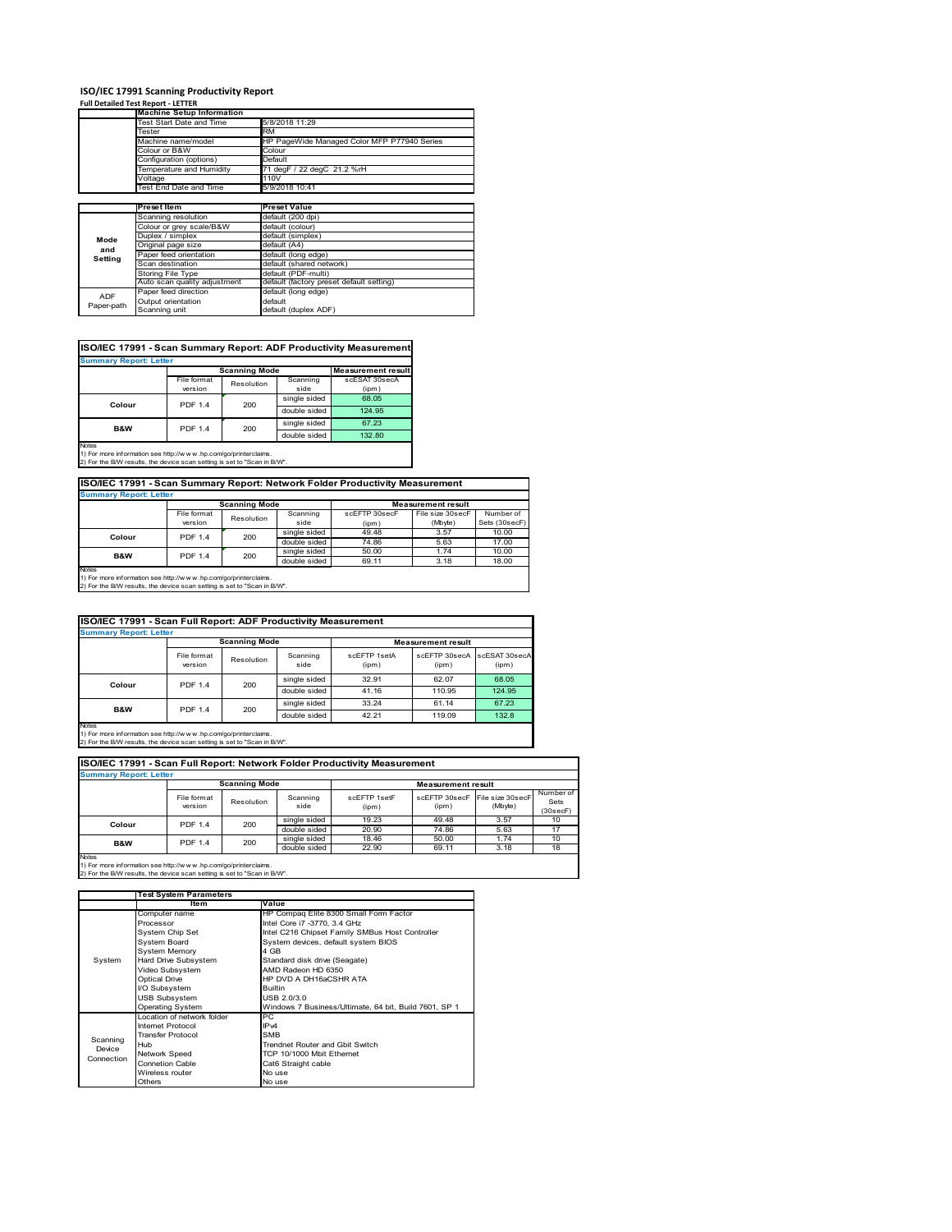# **ISO/IEC 17991 Scanning Productivity Report Full Detailed Test Report ‐ LETTER Machine Setup Information**

|            | <b>Machine Setup Information</b> |                                             |  |  |  |  |
|------------|----------------------------------|---------------------------------------------|--|--|--|--|
|            | <b>Test Start Date and Time</b>  | 5/8/2018 11:29                              |  |  |  |  |
|            | Tester                           | <b>RM</b>                                   |  |  |  |  |
|            | Machine name/model               | HP PageWide Managed Color MFP P77940 Series |  |  |  |  |
|            | Colour or B&W                    | Colour                                      |  |  |  |  |
|            | Configuration (options)          | Default                                     |  |  |  |  |
|            | emperature and Humidity          | 71 degF / 22 degC 21.2 %rH                  |  |  |  |  |
|            | Voltage                          | 110V                                        |  |  |  |  |
|            | Test End Date and Time           | 5/9/2018 10:41                              |  |  |  |  |
|            |                                  |                                             |  |  |  |  |
|            | <b>Preset Item</b>               | <b>Preset Value</b>                         |  |  |  |  |
|            | Scanning resolution              | default (200 dpi)                           |  |  |  |  |
|            | Colour or grey scale/B&W         | default (colour)                            |  |  |  |  |
| Mode       | Duplex / simplex                 | default (simplex)                           |  |  |  |  |
|            | Original page size               | default (A4)                                |  |  |  |  |
| and        | Paper feed orientation           | default (long edge)                         |  |  |  |  |
| Setting    | Scan destination                 | default (shared network)                    |  |  |  |  |
|            | Storing File Type                | default (PDF-multi)                         |  |  |  |  |
|            | Auto scan quality adjustment     | default (factory preset default setting)    |  |  |  |  |
|            |                                  |                                             |  |  |  |  |
| <b>ADF</b> | Paper feed direction             | default (long edge)                         |  |  |  |  |
| Paper-path | Output orientation               | default                                     |  |  |  |  |

| <b>Scanning Mode</b><br>File format<br>Scanning<br>scESAT 30secA<br>Resolution<br>version<br>side<br>(ipm)<br>single sided<br>68.05<br><b>PDF 1.4</b><br>200<br>Colour<br>double sided<br>124.95<br>single sided<br>67.23<br><b>PDF 1.4</b><br><b>B&amp;W</b><br>200<br>double sided<br>132.80 | <b>Summary Report: Letter</b> |  |  |                           |
|------------------------------------------------------------------------------------------------------------------------------------------------------------------------------------------------------------------------------------------------------------------------------------------------|-------------------------------|--|--|---------------------------|
|                                                                                                                                                                                                                                                                                                |                               |  |  | <b>Measurement result</b> |
|                                                                                                                                                                                                                                                                                                |                               |  |  |                           |
|                                                                                                                                                                                                                                                                                                |                               |  |  |                           |
|                                                                                                                                                                                                                                                                                                |                               |  |  |                           |
|                                                                                                                                                                                                                                                                                                |                               |  |  |                           |
|                                                                                                                                                                                                                                                                                                |                               |  |  |                           |
|                                                                                                                                                                                                                                                                                                |                               |  |  |                           |

**ISO/IEC 17991 - Scan Summary Report: Network Folder Productivity Measurement**

| <b>Summary Report: Letter</b> |                      |            |              |                           |                  |               |  |
|-------------------------------|----------------------|------------|--------------|---------------------------|------------------|---------------|--|
|                               | <b>Scanning Mode</b> |            |              | <b>Measurement result</b> |                  |               |  |
|                               | File format          | Resolution | Scanning     | scEFTP 30secF             | File size 30secF | Number of     |  |
|                               | version              |            | side         | (ipm)                     | (Mbyte)          | Sets (30secF) |  |
| Colour                        | PDF 1.4              | 200        | single sided | 49.48                     | 3.57             | 10.00         |  |
|                               |                      |            | double sided | 74.86                     | 5.63             | 17.00         |  |
| B&W                           | <b>PDF 1.4</b>       | 200        | single sided | 50.00                     | 1.74             | 10.00         |  |
|                               |                      |            | double sided | 69.11                     | 3.18             | 18.00         |  |
| Notes                         |                      |            |              |                           |                  |               |  |

┓

Notes 1) For more information see http://w w w .hp.com/go/printerclaims. 2) For the B/W results, the device scan setting is set to "Scan in B/W".

| ISO/IEC 17991 - Scan Full Report: ADF Productivity Measurement |                        |                       |                  |                       |                           |                        |  |  |
|----------------------------------------------------------------|------------------------|-----------------------|------------------|-----------------------|---------------------------|------------------------|--|--|
| <b>Summary Report: Letter</b>                                  |                        |                       |                  |                       |                           |                        |  |  |
|                                                                |                        | <b>Scanning Mode</b>  |                  |                       | <b>Measurement result</b> |                        |  |  |
|                                                                | File format<br>version | Resolution            | Scanning<br>side | scFFTP 1setA<br>(ipm) | scEETP 30secA<br>(ipm)    | scESAT 30secA<br>(ipm) |  |  |
|                                                                |                        | <b>PDF 1.4</b><br>200 | single sided     | 32.91                 | 62.07                     | 68.05                  |  |  |
| Colour                                                         |                        |                       | double sided     | 41.16                 | 110.95                    | 124.95                 |  |  |
|                                                                | <b>PDF 1.4</b>         | 200                   | single sided     | 33.24                 | 61.14                     | 67.23                  |  |  |
| <b>B&amp;W</b>                                                 |                        |                       | double sided     | 42.21                 | 119.09                    | 132.8                  |  |  |
| <b>Notes</b>                                                   |                        |                       |                  |                       |                           |                        |  |  |

Notes 1) For more information see http://w w w .hp.com/go/printerclaims. 2) For the B/W results, the device scan setting is set to "Scan in B/W".

| ISO/IEC 17991 - Scan Full Report: Network Folder Productivity Measurement |                        |                      |                  |                           |       |                                           |                               |  |  |  |
|---------------------------------------------------------------------------|------------------------|----------------------|------------------|---------------------------|-------|-------------------------------------------|-------------------------------|--|--|--|
| <b>Summary Report: Letter</b>                                             |                        |                      |                  |                           |       |                                           |                               |  |  |  |
|                                                                           |                        | <b>Scanning Mode</b> |                  | <b>Measurement result</b> |       |                                           |                               |  |  |  |
|                                                                           | File format<br>version | Resolution           | Scanning<br>side | scEETP 1setE<br>(ipm)     | (ipm) | scEFTP 30secF File size 30secF<br>(Mbyte) | Number of<br>Sets<br>(30secF) |  |  |  |
| Colour                                                                    | 200<br><b>PDF 1.4</b>  |                      | single sided     | 19.23                     | 49.48 | 3.57                                      | 10                            |  |  |  |
|                                                                           |                        |                      | double sided     | 20.90                     | 74.86 | 5.63                                      | 17                            |  |  |  |
| <b>B&amp;W</b>                                                            | <b>PDF 1.4</b>         | 200                  | single sided     | 18.46                     | 50.00 | 1.74                                      | 10                            |  |  |  |
|                                                                           |                        |                      | double sided     | 22.90                     | 69.11 | 3.18                                      | 18                            |  |  |  |
| <b>Notes</b>                                                              |                        |                      |                  |                           |       |                                           |                               |  |  |  |

|            | <b>Test System Parameters</b> |                                                       |  |  |  |
|------------|-------------------------------|-------------------------------------------------------|--|--|--|
|            | Item                          | Value                                                 |  |  |  |
|            | Computer name                 | HP Compaq Elite 8300 Small Form Factor                |  |  |  |
|            | Processor                     | Intel Core i7 -3770, 3.4 GHz                          |  |  |  |
|            | System Chip Set               | Intel C216 Chipset Family SMBus Host Controller       |  |  |  |
|            | <b>System Board</b>           | System devices, default system BIOS                   |  |  |  |
|            | <b>System Memory</b>          | 4 GB                                                  |  |  |  |
| System     | Hard Drive Subsystem          | Standard disk drive (Seagate)                         |  |  |  |
|            | Video Subsystem               | AMD Radeon HD 6350                                    |  |  |  |
|            | <b>Optical Drive</b>          | HP DVD A DH16aCSHR ATA                                |  |  |  |
|            | I/O Subsystem                 | <b>Builtin</b>                                        |  |  |  |
|            | <b>USB Subsystem</b>          | USB 2.0/3.0                                           |  |  |  |
|            | <b>Operating System</b>       | Windows 7 Business/Ultimate, 64 bit, Build 7601, SP 1 |  |  |  |
|            | I ocation of network folder   | PC.                                                   |  |  |  |
|            | Internet Protocol             | IP <sub>v4</sub>                                      |  |  |  |
| Scanning   | <b>Transfer Protocol</b>      | <b>SMB</b>                                            |  |  |  |
| Device     | Hub                           | Trendnet Router and Gbit Switch                       |  |  |  |
| Connection | Network Speed                 | TCP 10/1000 Mbit Ethernet                             |  |  |  |
|            | <b>Connetion Cable</b>        | Cat6 Straight cable                                   |  |  |  |
|            | Wireless router               | No use                                                |  |  |  |
|            | Others                        | No use                                                |  |  |  |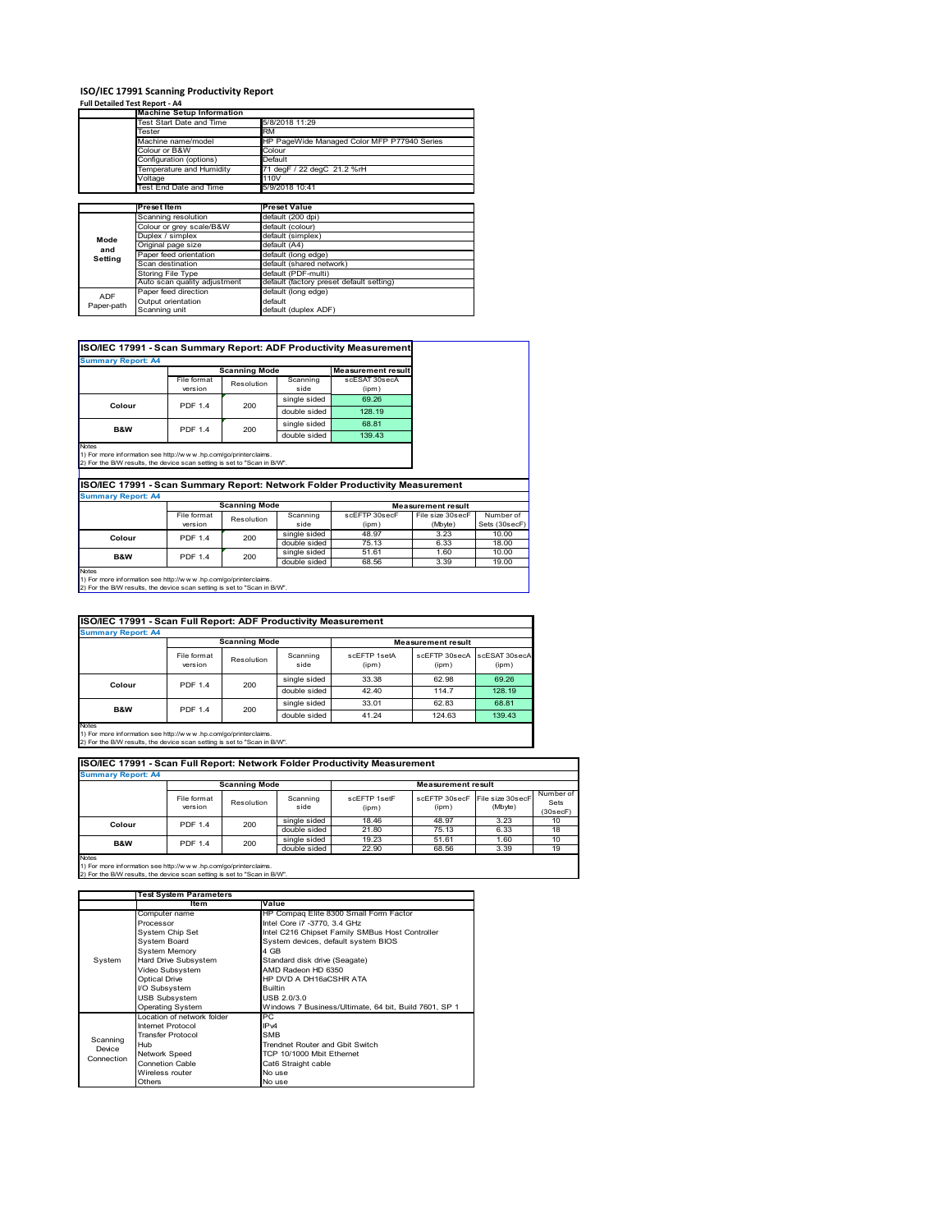### **ISO/IEC 17991 Scanning Productivity Report**

**Full Detailed Test Report ‐ A4**

|            | <b>Machine Setup Information</b> |                                             |
|------------|----------------------------------|---------------------------------------------|
|            | Test Start Date and Time         | 5/8/2018 11:29                              |
|            | Tester                           | <b>RM</b>                                   |
|            | Machine name/model               | HP PageWide Managed Color MFP P77940 Series |
|            | Colour or B&W                    | Colour                                      |
|            | Configuration (options)          | Default                                     |
|            | Temperature and Humidity         | 71 degF / 22 degC 21.2 %rH                  |
|            | Voltage                          | 110V                                        |
|            | Test End Date and Time           | 5/9/2018 10:41                              |
|            |                                  |                                             |
|            | <b>Preset Item</b>               | <b>Preset Value</b>                         |
|            | Scanning resolution              | default (200 dpi)                           |
|            | Colour or grey scale/B&W         | default (colour)                            |
| Mode       | Duplex / simplex                 | default (simplex)                           |
| and        | Original page size               | default (A4)                                |
| Setting    | Paper feed orientation           | default (long edge)                         |
|            | Scan destination                 | default (shared network)                    |
|            | <b>Storing File Type</b>         | default (PDF-multi)                         |
|            | Auto scan quality adjustment     | default (factory preset default setting)    |
| <b>ADF</b> | Paper feed direction             | default (long edge)                         |
|            | Output orientation               | default                                     |
| Paper-path |                                  |                                             |

| <b>Summary Report: A4</b> |                        |                      |                  |                           |
|---------------------------|------------------------|----------------------|------------------|---------------------------|
|                           |                        | <b>Scanning Mode</b> |                  | <b>Measurement result</b> |
|                           | File format<br>version | Resolution           | Scanning<br>side | scESAT 30secA<br>(ipm)    |
|                           | <b>PDF 1.4</b>         | 200                  | single sided     | 69.26                     |
| Colour                    |                        |                      | double sided     | 128.19                    |
| <b>B&amp;W</b>            | <b>PDF 1.4</b>         | 200                  | single sided     | 68.81                     |
|                           |                        |                      | double sided     | 139.43                    |

1) For more information see http://w w w .hp.com/go/printerclaims. 2) For the B/W results, the device scan setting is set to "Scan in B/W".

**ISO/IEC 17991 - Scan Summary Report: Network Folder Productivity Measurement**

| <b>Summary Report: A4</b> |                      |            |              |                           |                  |               |  |
|---------------------------|----------------------|------------|--------------|---------------------------|------------------|---------------|--|
|                           | <b>Scanning Mode</b> |            |              | <b>Measurement result</b> |                  |               |  |
|                           | File format          | Resolution | Scanning     | scEFTP 30secF             | File size 30secF | Number of     |  |
|                           | version              |            | side         | (ipm)                     | (Mbyte)          | Sets (30secF) |  |
| Colour                    | <b>PDF 1.4</b>       | 200        | single sided | 48.97                     | 3.23             | 10.00         |  |
|                           |                      |            | double sided | 75.13                     | 6.33             | 18.00         |  |
| B&W                       | <b>PDF 1.4</b>       | 200        | single sided | 51.61                     | 1.60             | 10.00         |  |
|                           |                      |            | double sided | 68.56                     | 3.39             | 19.00         |  |
| Notes                     |                      |            |              |                           |                  |               |  |

Notes 1) For more information see http://w w w .hp.com/go/printerclaims. 2) For the B/W results, the device scan setting is set to "Scan in B/W".

| ISO/IEC 17991 - Scan Full Report: ADF Productivity Measurement |                        |                      |                           |                       |                        |                        |  |  |  |
|----------------------------------------------------------------|------------------------|----------------------|---------------------------|-----------------------|------------------------|------------------------|--|--|--|
| <b>Summary Report: A4</b>                                      |                        |                      |                           |                       |                        |                        |  |  |  |
|                                                                |                        | <b>Scanning Mode</b> | <b>Measurement result</b> |                       |                        |                        |  |  |  |
|                                                                | File format<br>version | Resolution           | Scanning<br>side          | scFFTP 1setA<br>(ipm) | scEFTP 30secA<br>(ipm) | scESAT 30secA<br>(ipm) |  |  |  |
| Colour                                                         | <b>PDF 1.4</b>         | 200                  | single sided              | 33.38                 | 62.98                  | 69.26                  |  |  |  |
|                                                                |                        |                      | double sided              | 42.40                 | 114.7                  | 128.19                 |  |  |  |
|                                                                | <b>PDF 1.4</b>         | 200                  | single sided              | 33.01                 | 62.83                  | 68.81                  |  |  |  |
| <b>B&amp;W</b>                                                 |                        |                      | double sided              | 41.24                 | 124.63                 | 139.43                 |  |  |  |
| <b>Notes</b>                                                   |                        |                      |                           |                       |                        |                        |  |  |  |

Notes 1) For more information see http://w w w .hp.com/go/printerclaims. 2) For the B/W results, the device scan setting is set to "Scan in B/W".

| ISO/IEC 17991 - Scan Full Report: Network Folder Productivity Measurement |                        |            |                  |                       |                           |                             |                               |  |
|---------------------------------------------------------------------------|------------------------|------------|------------------|-----------------------|---------------------------|-----------------------------|-------------------------------|--|
| <b>Summary Report: A4</b>                                                 |                        |            |                  |                       |                           |                             |                               |  |
| <b>Scanning Mode</b>                                                      |                        |            |                  |                       | <b>Measurement result</b> |                             |                               |  |
|                                                                           | File format<br>version | Resolution | Scanning<br>side | scFFTP 1setF<br>(ipm) | scEFTP 30secF<br>(ipm)    | File size 30secF<br>(Mbyte) | Number of<br>Sets<br>(30secF) |  |
| Colour                                                                    | <b>PDF 1.4</b>         | 200        | single sided     | 18.46                 | 48.97                     | 3.23                        | 10                            |  |
|                                                                           |                        |            | double sided     | 21.80                 | 75.13                     | 6.33                        | 18                            |  |
| <b>B&amp;W</b>                                                            | <b>PDF 1.4</b>         | 200        | single sided     | 19.23                 | 51.61                     | 1.60                        | 10                            |  |
|                                                                           |                        |            | double sided     | 22.90                 | 68.56                     | 3.39                        | 19                            |  |
| <b>Notes</b>                                                              |                        |            |                  |                       |                           |                             |                               |  |

|            | <b>Test System Parameters</b> |                                                       |  |  |
|------------|-------------------------------|-------------------------------------------------------|--|--|
|            | Item                          | Value                                                 |  |  |
|            | Computer name                 | HP Compaq Elite 8300 Small Form Factor                |  |  |
|            | Processor                     | Intel Core i7 -3770, 3.4 GHz                          |  |  |
|            | System Chip Set               | Intel C216 Chipset Family SMBus Host Controller       |  |  |
|            | <b>System Board</b>           | System devices, default system BIOS                   |  |  |
|            | <b>System Memory</b>          | 4 GB                                                  |  |  |
| System     | Hard Drive Subsystem          | Standard disk drive (Seagate)                         |  |  |
|            | Video Subsystem               | AMD Radeon HD 6350                                    |  |  |
|            | <b>Optical Drive</b>          | HP DVD A DH16aCSHR ATA                                |  |  |
|            | I/O Subsystem                 | <b>Builtin</b>                                        |  |  |
|            | <b>USB Subsystem</b>          | USB 2.0/3.0                                           |  |  |
|            | <b>Operating System</b>       | Windows 7 Business/Ultimate, 64 bit, Build 7601, SP 1 |  |  |
|            | I ocation of network folder   | PC.                                                   |  |  |
|            | Internet Protocol             | IP <sub>v4</sub>                                      |  |  |
| Scanning   | <b>Transfer Protocol</b>      | <b>SMB</b>                                            |  |  |
| Device     | Hub                           | Trendnet Router and Gbit Switch                       |  |  |
| Connection | Network Speed                 | TCP 10/1000 Mbit Ethernet                             |  |  |
|            | <b>Connetion Cable</b>        | Cat6 Straight cable                                   |  |  |
|            | Wireless router               | No use                                                |  |  |
|            | Others                        | No use                                                |  |  |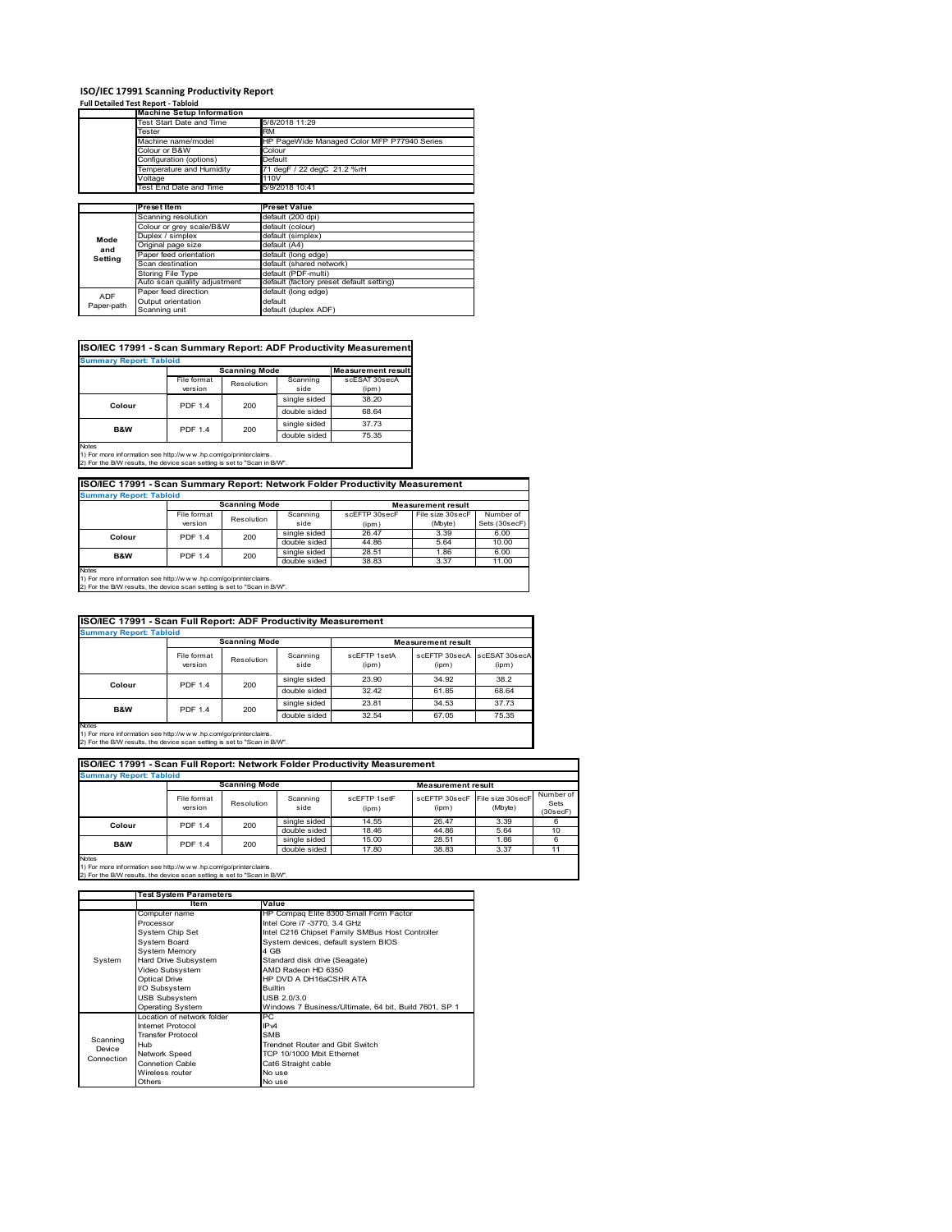# **ISO/IEC 17991 Scanning Productivity Report Full Detailed Test Report ‐ Tabloid Machine Setup Information**

|            | <b>Machine Setup Information</b> |                                             |  |  |  |  |
|------------|----------------------------------|---------------------------------------------|--|--|--|--|
|            | <b>Test Start Date and Time</b>  | 5/8/2018 11:29                              |  |  |  |  |
|            | Tester                           | <b>RM</b>                                   |  |  |  |  |
|            | Machine name/model               | HP PageWide Managed Color MFP P77940 Series |  |  |  |  |
|            | Colour or B&W                    | Colour                                      |  |  |  |  |
|            | Configuration (options)          | Default                                     |  |  |  |  |
|            | emperature and Humidity          | 71 degF / 22 degC 21.2 %rH                  |  |  |  |  |
|            | Voltage                          | 110V                                        |  |  |  |  |
|            | Test End Date and Time           | 5/9/2018 10:41                              |  |  |  |  |
|            |                                  |                                             |  |  |  |  |
|            | <b>Preset Item</b>               | <b>Preset Value</b>                         |  |  |  |  |
|            | Scanning resolution              | default (200 dpi)                           |  |  |  |  |
|            | Colour or grey scale/B&W         | default (colour)                            |  |  |  |  |
| Mode       | Duplex / simplex                 | default (simplex)                           |  |  |  |  |
|            | Original page size               | default (A4)                                |  |  |  |  |
| and        | Paper feed orientation           | default (long edge)                         |  |  |  |  |
| Setting    | Scan destination                 | default (shared network)                    |  |  |  |  |
|            | Storing File Type                | default (PDF-multi)                         |  |  |  |  |
|            | Auto scan quality adjustment     | default (factory preset default setting)    |  |  |  |  |
|            | Paper feed direction             | default (long edge)                         |  |  |  |  |
| <b>ADF</b> |                                  |                                             |  |  |  |  |
| Paper-path | Output orientation               | default                                     |  |  |  |  |

| <b>Summary Report: Tabloid</b> |                |                      |              |                           |
|--------------------------------|----------------|----------------------|--------------|---------------------------|
|                                |                | <b>Scanning Mode</b> |              | <b>Measurement result</b> |
|                                | File format    | Resolution           | Scanning     | scESAT 30secA             |
|                                | version        |                      | side         | (ipm)                     |
| Colour                         | <b>PDF 1.4</b> | 200                  | single sided | 38.20                     |
|                                |                |                      | double sided | 68.64                     |
| <b>B&amp;W</b>                 | <b>PDF 1.4</b> | 200                  | single sided | 37.73                     |
|                                |                |                      | double sided | 75.35                     |

1) For more information see http://w w w .hp.com/go/printerclaims. 2) For the B/W results, the device scan setting is set to "Scan in B/W".

| ISO/IEC 17991 - Scan Summary Report: Network Folder Productivity Measurement |                |                      |              |               |                           |               |  |  |
|------------------------------------------------------------------------------|----------------|----------------------|--------------|---------------|---------------------------|---------------|--|--|
| <b>Summary Report: Tabloid</b>                                               |                |                      |              |               |                           |               |  |  |
|                                                                              |                | <b>Scanning Mode</b> |              |               | <b>Measurement result</b> |               |  |  |
|                                                                              | File format    | Resolution           | Scanning     | scEFTP 30secF | File size 30secF          | Number of     |  |  |
|                                                                              | version        |                      | side         | (ipm)         | (Mbyte)                   | Sets (30secF) |  |  |
| Colour                                                                       | <b>PDF 1.4</b> | 200                  | single sided | 26.47         | 3.39                      | 6.00          |  |  |
|                                                                              |                |                      | double sided | 44.86         | 5.64                      | 10.00         |  |  |
| <b>B&amp;W</b>                                                               | <b>PDF 1.4</b> | 200                  | single sided | 28.51         | 1.86                      | 6.00          |  |  |
|                                                                              |                |                      | double sided | 38.83         | 3.37                      | 11.00         |  |  |
| <b>Alatan</b>                                                                |                |                      |              |               |                           |               |  |  |

Notes 1) For more information see http://w w w .hp.com/go/printerclaims. 2) For the B/W results, the device scan setting is set to "Scan in B/W".

| <b>Summary Report: Tabloid</b>                                                                                                                                 |                        |                      |                  |                       |                           |                        |
|----------------------------------------------------------------------------------------------------------------------------------------------------------------|------------------------|----------------------|------------------|-----------------------|---------------------------|------------------------|
|                                                                                                                                                                |                        | <b>Scanning Mode</b> |                  |                       | <b>Measurement result</b> |                        |
|                                                                                                                                                                | File format<br>version | Resolution           | Scanning<br>side | scFFTP 1setA<br>(ipm) | scEETP 30secA<br>(ipm)    | scESAT 30secA<br>(ipm) |
|                                                                                                                                                                | <b>PDF 1.4</b>         | 200                  | single sided     | 23.90                 | 34.92                     | 38.2                   |
| Colour                                                                                                                                                         |                        |                      | double sided     | 32.42                 | 61.85                     | 68.64                  |
|                                                                                                                                                                | <b>PDF 1.4</b>         | 200                  | single sided     | 23.81                 | 34.53                     | 37.73                  |
| <b>B&amp;W</b>                                                                                                                                                 |                        |                      | double sided     | 32.54                 | 67.05                     | 75.35                  |
| <b>Notes</b><br>1) For more information see http://w w w .hp.com/go/printerclaims.<br>2) For the B/W results, the device scan setting is set to "Scan in B/W". |                        |                      |                  |                       |                           |                        |

| ISO/IEC 17991 - Scan Full Report: Network Folder Productivity Measurement |                        |            |                  |                           |                                         |         |                               |  |  |
|---------------------------------------------------------------------------|------------------------|------------|------------------|---------------------------|-----------------------------------------|---------|-------------------------------|--|--|
| <b>Summary Report: Tabloid</b>                                            |                        |            |                  |                           |                                         |         |                               |  |  |
| <b>Scanning Mode</b>                                                      |                        |            |                  | <b>Measurement result</b> |                                         |         |                               |  |  |
|                                                                           | File format<br>version | Resolution | Scanning<br>side | scEFTP 1setF<br>(iom)     | scEFTP 30secF File size 30secF<br>(ipm) | (Mbyte) | Number of<br>Sets<br>(30secF) |  |  |
| Colour                                                                    | <b>PDF 1.4</b>         | 200        | single sided     | 14.55                     | 26.47                                   | 3.39    |                               |  |  |
|                                                                           |                        |            | double sided     | 18.46                     | 44.86                                   | 5.64    | 10                            |  |  |
| <b>B&amp;W</b>                                                            | <b>PDF 1.4</b>         | 200        | single sided     | 15.00                     | 28.51                                   | 1.86    |                               |  |  |
|                                                                           |                        |            | double sided     | 17.80                     | 38.83                                   | 3.37    | 11                            |  |  |

|            | <b>Test System Parameters</b> |                                                       |  |  |
|------------|-------------------------------|-------------------------------------------------------|--|--|
|            | Item                          | Value                                                 |  |  |
|            | Computer name                 | HP Compag Elite 8300 Small Form Factor                |  |  |
|            | Processor                     | Intel Core i7 -3770, 3.4 GHz                          |  |  |
|            | System Chip Set               | Intel C216 Chipset Family SMBus Host Controller       |  |  |
|            | System Board                  | System devices, default system BIOS                   |  |  |
|            | <b>System Memory</b>          | 4 GB                                                  |  |  |
| System     | Hard Drive Subsystem          | Standard disk drive (Seagate)                         |  |  |
|            | Video Subsystem               | AMD Radeon HD 6350                                    |  |  |
|            | <b>Optical Drive</b>          | HP DVD A DH16aCSHR ATA                                |  |  |
|            | I/O Subsystem                 | <b>Builtin</b>                                        |  |  |
|            | <b>USB Subsystem</b>          | USB 2.0/3.0                                           |  |  |
|            | <b>Operating System</b>       | Windows 7 Business/Ultimate, 64 bit, Build 7601, SP 1 |  |  |
|            | I ocation of network folder   | PC.                                                   |  |  |
|            | Internet Protocol             | IP <sub>v4</sub>                                      |  |  |
| Scanning   | <b>Transfer Protocol</b>      | <b>SMB</b>                                            |  |  |
| Device     | Hub                           | Trendnet Router and Gbit Switch                       |  |  |
| Connection | Network Speed                 | TCP 10/1000 Mbit Ethernet                             |  |  |
|            | <b>Connetion Cable</b>        | Cat6 Straight cable                                   |  |  |
|            | Wireless router               | No use                                                |  |  |
|            | Others                        | No use                                                |  |  |